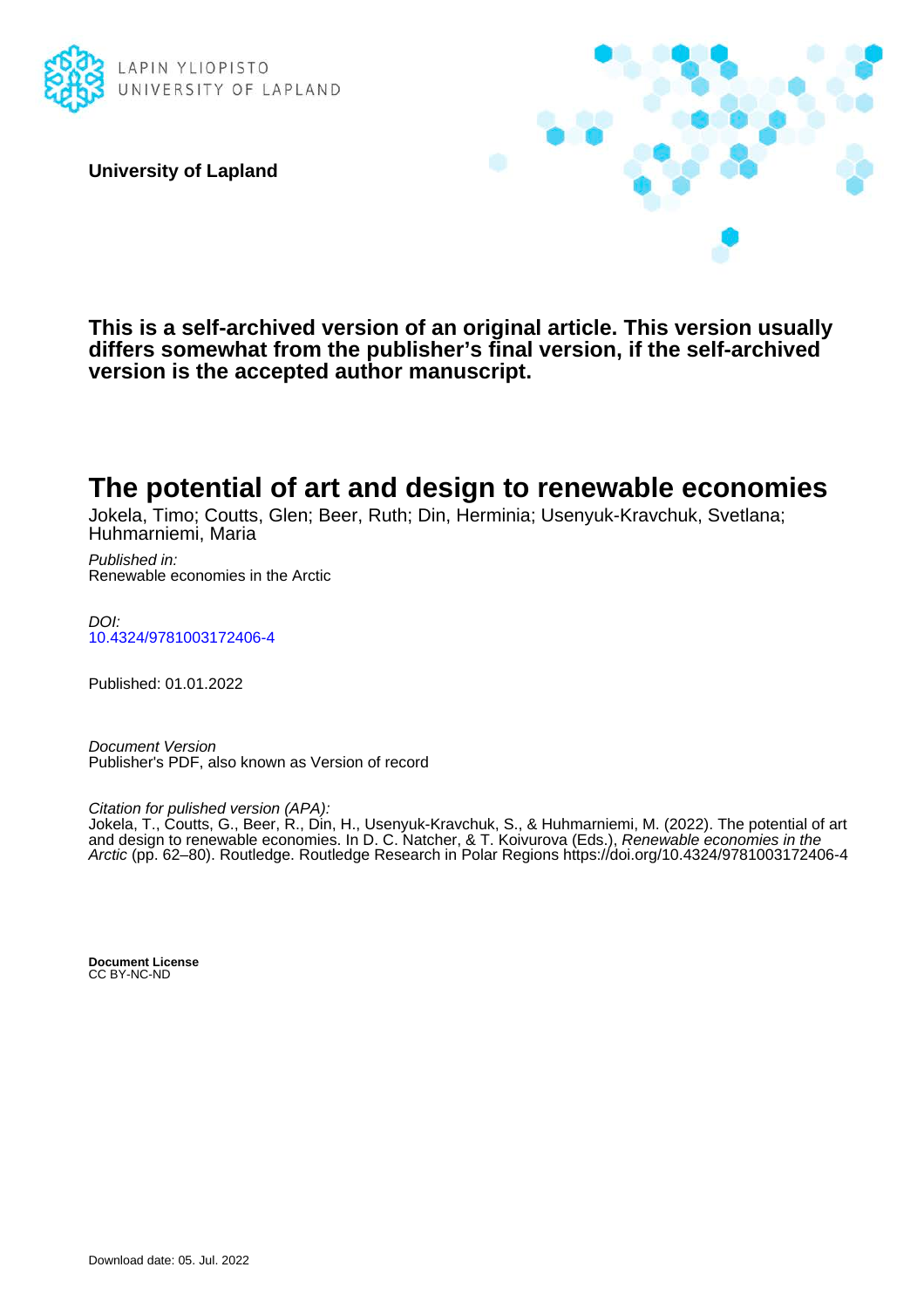

**University of Lapland**



**This is a self-archived version of an original article. This version usually differs somewhat from the publisher's final version, if the self-archived version is the accepted author manuscript.**

# **The potential of art and design to renewable economies**

Jokela, Timo; Coutts, Glen; Beer, Ruth; Din, Herminia; Usenyuk-Kravchuk, Svetlana; Huhmarniemi, Maria

Published in: Renewable economies in the Arctic

DOI: [10.4324/9781003172406-4](https://doi.org/10.4324/9781003172406-4)

Published: 01.01.2022

Document Version Publisher's PDF, also known as Version of record

Citation for pulished version (APA):

Jokela, T., Coutts, G., Beer, R., Din, H., Usenyuk-Kravchuk, S., & Huhmarniemi, M. (2022). The potential of art and design to renewable economies. In D. C. Natcher, & T. Koivurova (Eds.), *Renewable economies in the* Arctic (pp. 62–80). Routledge. Routledge Research in Polar Regions <https://doi.org/10.4324/9781003172406-4>

**Document License** CC BY-NC-ND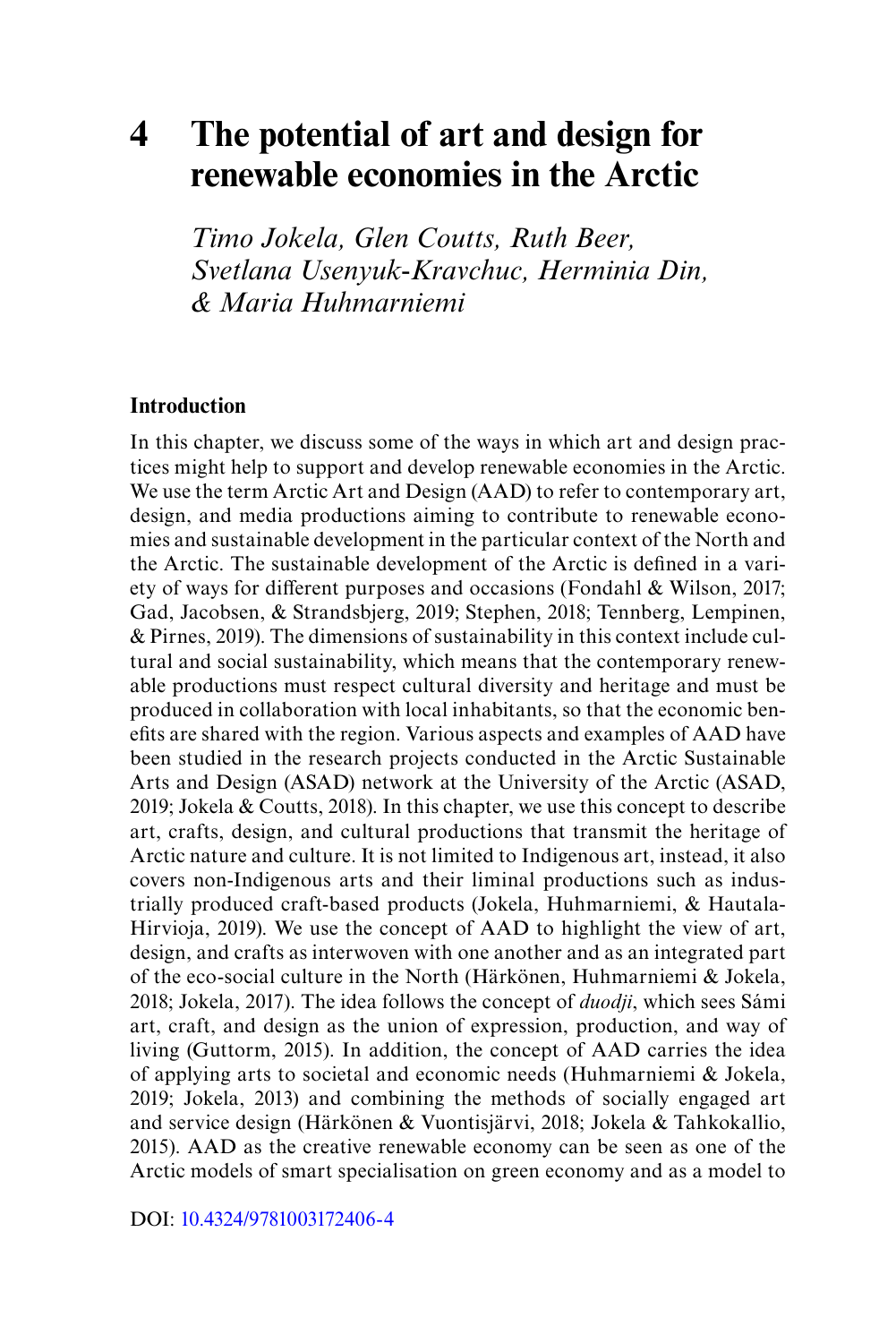# **4 [The potential of art and design for](#page--1-0)  renewable economies in the Arctic**

*Timo Jokela, Glen Coutts, Ruth Beer, Svetlana Usenyuk-Kravchuc, Herminia Din, & Maria Huhmarniemi*

## **Introduction**

In this chapter, we discuss some of the ways in which art and design practices might help to support and develop renewable economies in the Arctic. We use the term Arctic Art and Design (AAD) to refer to contemporary art, design, and media productions aiming to contribute to renewable economies and sustainable development in the particular context of the North and the Arctic. The sustainable development of the Arctic is defined in a variety of ways for different purposes and occasions (Fondahl & Wilson, 2017; Gad, Jacobsen, & Strandsbjerg, 2019; Stephen, 2018; Tennberg, Lempinen, & Pirnes, 2019). The dimensions of sustainability in this context include cultural and social sustainability, which means that the contemporary renewable productions must respect cultural diversity and heritage and must be produced in collaboration with local inhabitants, so that the economic benefits are shared with the region. Various aspects and examples of AAD have been studied in the research projects conducted in the Arctic Sustainable Arts and Design (ASAD) network at the University of the Arctic (ASAD, 2019; Jokela & Coutts, 2018). In this chapter, we use this concept to describe art, crafts, design, and cultural productions that transmit the heritage of Arctic nature and culture. It is not limited to Indigenous art, instead, it also covers non-Indigenous arts and their liminal productions such as industrially produced craft-based products (Jokela, Huhmarniemi, & Hautala-Hirvioja, 2019). We use the concept of AAD to highlight the view of art, design, and crafts as interwoven with one another and as an integrated part of the eco-social culture in the North (Härkönen, Huhmarniemi & Jokela, 2018; Jokela, 2017). The idea follows the concept of *duodji*, which sees Sámi art, craft, and design as the union of expression, production, and way of living (Guttorm, 2015). In addition, the concept of AAD carries the idea of applying arts to societal and economic needs (Huhmarniemi & Jokela, 2019; Jokela, 2013) and combining the methods of socially engaged art and service design (Härkönen & Vuontisjärvi, 2018; Jokela & Tahkokallio, 2015). AAD as the creative renewable economy can be seen as one of the Arctic models of smart specialisation on green economy and as a model to

DOI: [10.4324/9781003172406-4](https://doi.org/10.4324/9781003172406-4)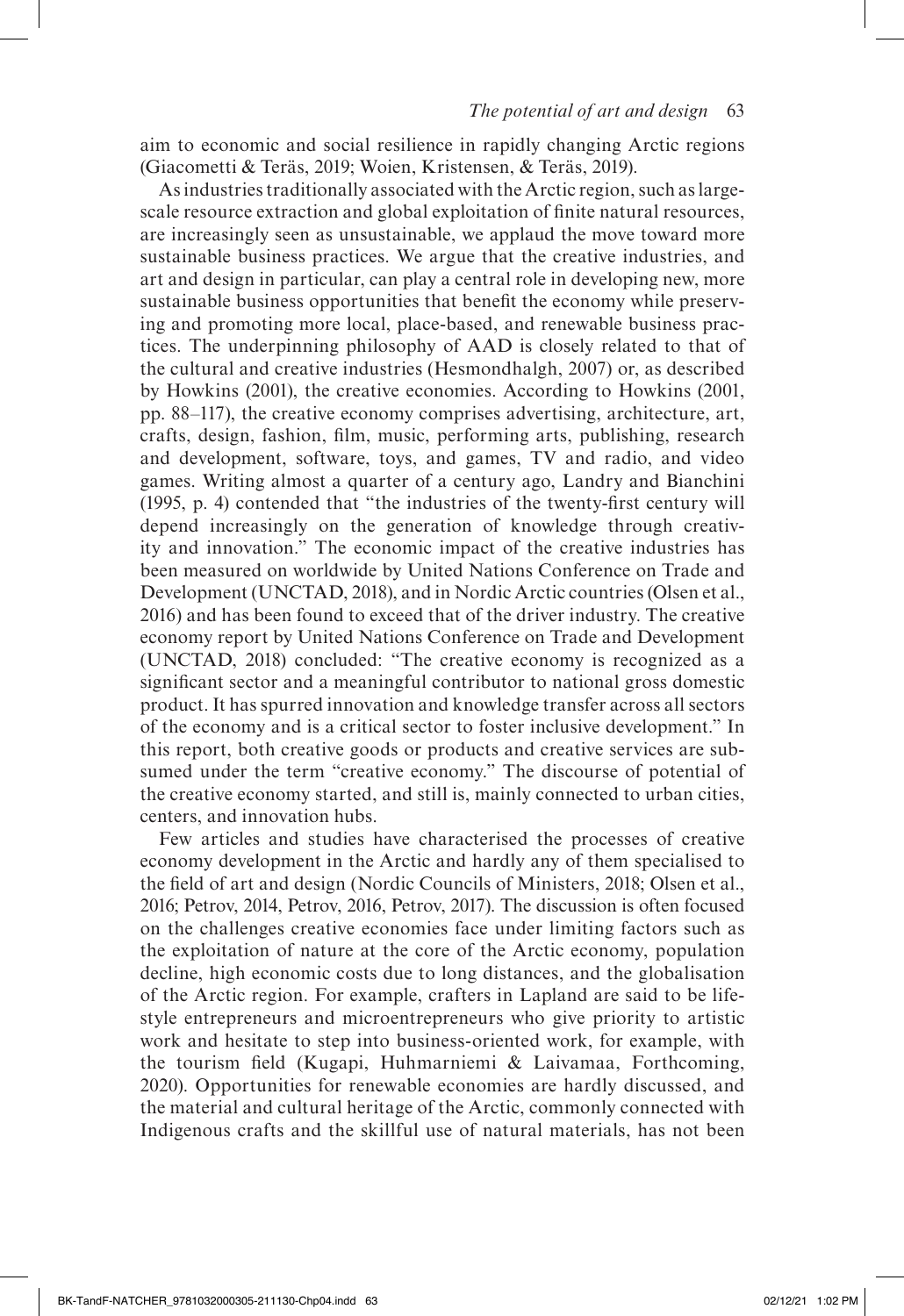aim to economic and social resilience in rapidly changing Arctic regions (Giacometti & Teräs, 2019; Woien, Kristensen, & Teräs, 2019).

As industries traditionally associated with the Arctic region, such as largescale resource extraction and global exploitation of finite natural resources, are increasingly seen as unsustainable, we applaud the move toward more sustainable business practices. We argue that the creative industries, and art and design in particular, can play a central role in developing new, more sustainable business opportunities that benefit the economy while preserving and promoting more local, place-based, and renewable business practices. The underpinning philosophy of AAD is closely related to that of the cultural and creative industries (Hesmondhalgh, 2007) or, as described by Howkins (2001), the creative economies. According to Howkins (2001, pp. 88–117), the creative economy comprises advertising, architecture, art, crafts, design, fashion, film, music, performing arts, publishing, research and development, software, toys, and games, TV and radio, and video games. Writing almost a quarter of a century ago, Landry and Bianchini (1995, p. 4) contended that "the industries of the twenty-first century will depend increasingly on the generation of knowledge through creativity and innovation." The economic impact of the creative industries has been measured on worldwide by United Nations Conference on Trade and Development (UNCTAD, 2018), and in Nordic Arctic countries (Olsen et al., 2016) and has been found to exceed that of the driver industry. The creative economy report by United Nations Conference on Trade and Development (UNCTAD, 2018) concluded: "The creative economy is recognized as a significant sector and a meaningful contributor to national gross domestic product. It has spurred innovation and knowledge transfer across all sectors of the economy and is a critical sector to foster inclusive development." In this report, both creative goods or products and creative services are subsumed under the term "creative economy." The discourse of potential of the creative economy started, and still is, mainly connected to urban cities, centers, and innovation hubs.

Few articles and studies have characterised the processes of creative economy development in the Arctic and hardly any of them specialised to the field of art and design (Nordic Councils of Ministers, 2018; Olsen et al., 2016; Petrov, 2014, Petrov, 2016, Petrov, 2017). The discussion is often focused on the challenges creative economies face under limiting factors such as the exploitation of nature at the core of the Arctic economy, population decline, high economic costs due to long distances, and the globalisation of the Arctic region. For example, crafters in Lapland are said to be lifestyle entrepreneurs and microentrepreneurs who give priority to artistic work and hesitate to step into business-oriented work, for example, with the tourism field (Kugapi, Huhmarniemi & Laivamaa, Forthcoming, 2020). Opportunities for renewable economies are hardly discussed, and the material and cultural heritage of the Arctic, commonly connected with Indigenous crafts and the skillful use of natural materials, has not been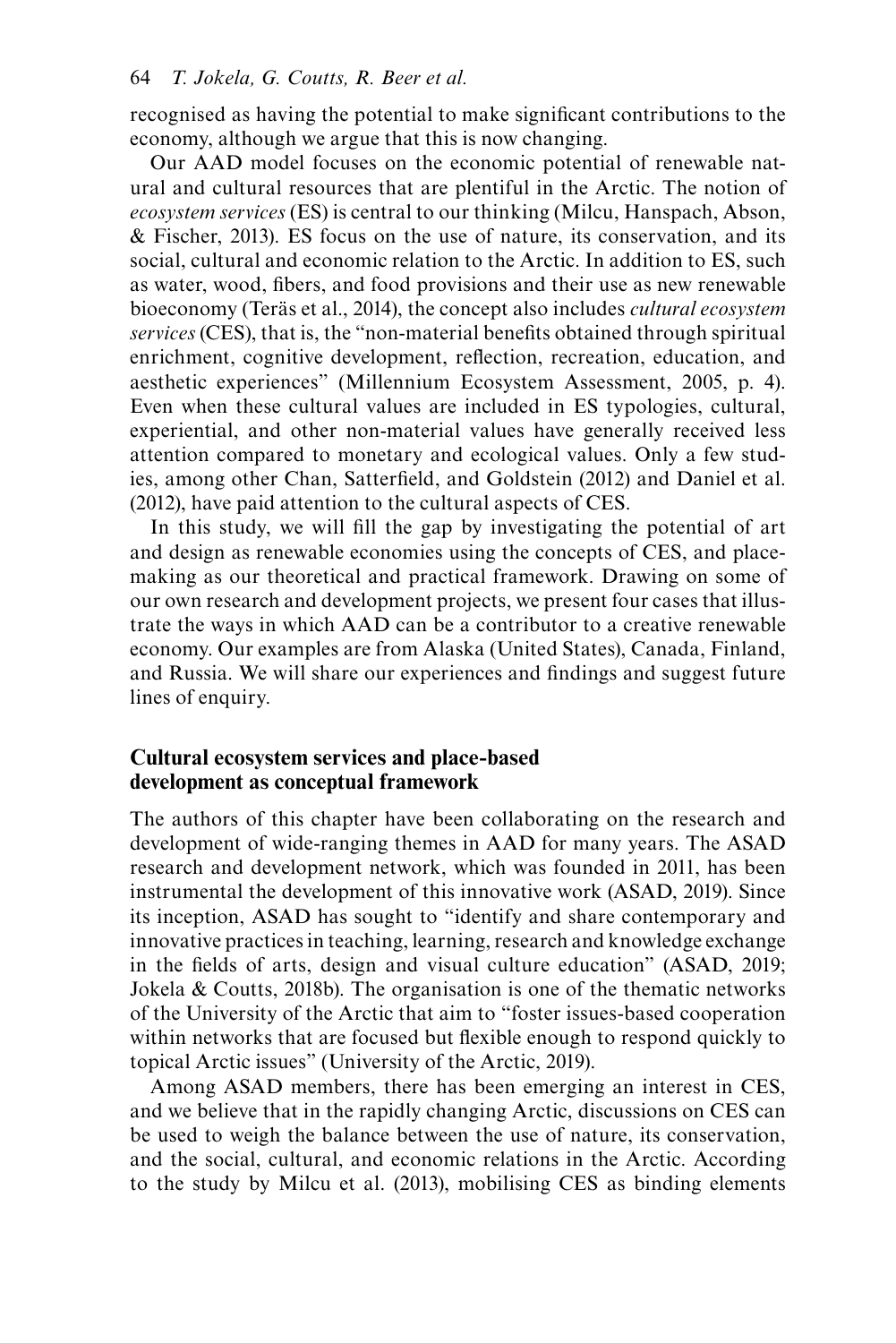recognised as having the potential to make significant contributions to the economy, although we argue that this is now changing.

Our AAD model focuses on the economic potential of renewable natural and cultural resources that are plentiful in the Arctic. The notion of *ecosystem services* (ES) is central to our thinking (Milcu, Hanspach, Abson, & Fischer, 2013). ES focus on the use of nature, its conservation, and its social, cultural and economic relation to the Arctic. In addition to ES, such as water, wood, fibers, and food provisions and their use as new renewable bioeconomy (Teräs et al., 2014), the concept also includes *cultural ecosystem services* (CES), that is, the "non-material benefits obtained through spiritual enrichment, cognitive development, reflection, recreation, education, and aesthetic experiences" (Millennium Ecosystem Assessment, 2005, p. 4). Even when these cultural values are included in ES typologies, cultural, experiential, and other non-material values have generally received less attention compared to monetary and ecological values. Only a few studies, among other Chan, Satterfield, and Goldstein (2012) and Daniel et al. (2012), have paid attention to the cultural aspects of CES.

In this study, we will fill the gap by investigating the potential of art and design as renewable economies using the concepts of CES, and placemaking as our theoretical and practical framework. Drawing on some of our own research and development projects, we present four cases that illustrate the ways in which AAD can be a contributor to a creative renewable economy. Our examples are from Alaska (United States), Canada, Finland, and Russia. We will share our experiences and findings and suggest future lines of enquiry.

## **Cultural ecosystem services and place-based development as conceptual framework**

The authors of this chapter have been collaborating on the research and development of wide-ranging themes in AAD for many years. The ASAD research and development network, which was founded in 2011, has been instrumental the development of this innovative work (ASAD, 2019). Since its inception, ASAD has sought to "identify and share contemporary and innovative practices in teaching, learning, research and knowledge exchange in the fields of arts, design and visual culture education" (ASAD, 2019; Jokela & Coutts, 2018b). The organisation is one of the thematic networks of the University of the Arctic that aim to "foster issues-based cooperation within networks that are focused but flexible enough to respond quickly to topical Arctic issues" (University of the Arctic, 2019).

Among ASAD members, there has been emerging an interest in CES, and we believe that in the rapidly changing Arctic, discussions on CES can be used to weigh the balance between the use of nature, its conservation, and the social, cultural, and economic relations in the Arctic. According to the study by Milcu et al. (2013), mobilising CES as binding elements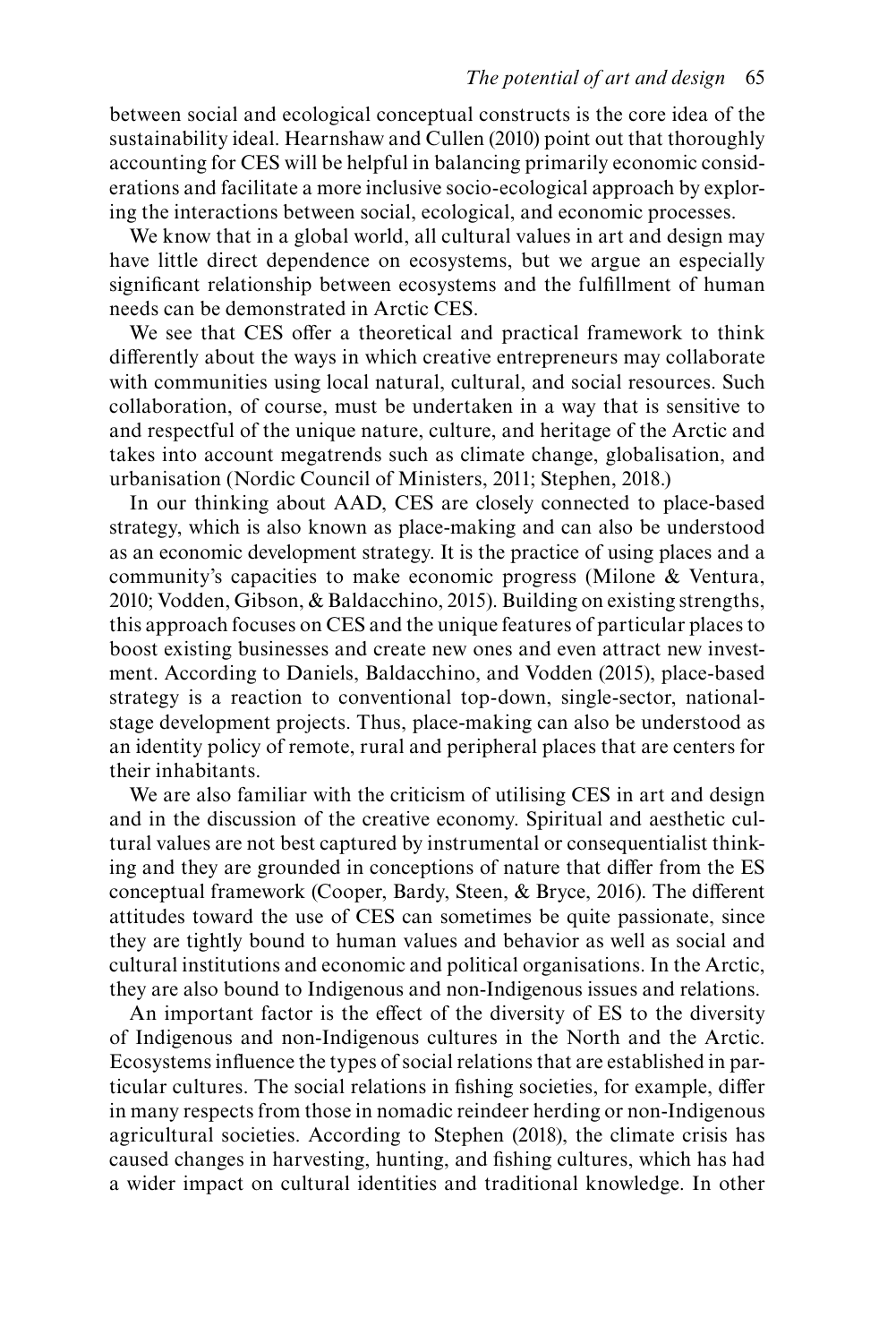between social and ecological conceptual constructs is the core idea of the sustainability ideal. Hearnshaw and Cullen (2010) point out that thoroughly accounting for CES will be helpful in balancing primarily economic considerations and facilitate a more inclusive socio-ecological approach by exploring the interactions between social, ecological, and economic processes.

We know that in a global world, all cultural values in art and design may have little direct dependence on ecosystems, but we argue an especially significant relationship between ecosystems and the fulfillment of human needs can be demonstrated in Arctic CES.

We see that CES offer a theoretical and practical framework to think differently about the ways in which creative entrepreneurs may collaborate with communities using local natural, cultural, and social resources. Such collaboration, of course, must be undertaken in a way that is sensitive to and respectful of the unique nature, culture, and heritage of the Arctic and takes into account megatrends such as climate change, globalisation, and urbanisation (Nordic Council of Ministers, 2011; Stephen, 2018.)

In our thinking about AAD, CES are closely connected to place-based strategy, which is also known as place-making and can also be understood as an economic development strategy. It is the practice of using places and a community's capacities to make economic progress (Milone & Ventura, 2010; Vodden, Gibson, & Baldacchino, 2015). Building on existing strengths, this approach focuses on CES and the unique features of particular places to boost existing businesses and create new ones and even attract new investment. According to Daniels, Baldacchino, and Vodden (2015), place-based strategy is a reaction to conventional top-down, single-sector, nationalstage development projects. Thus, place-making can also be understood as an identity policy of remote, rural and peripheral places that are centers for their inhabitants.

We are also familiar with the criticism of utilising CES in art and design and in the discussion of the creative economy. Spiritual and aesthetic cultural values are not best captured by instrumental or consequentialist thinking and they are grounded in conceptions of nature that differ from the ES conceptual framework (Cooper, Bardy, Steen, & Bryce, 2016). The different attitudes toward the use of CES can sometimes be quite passionate, since they are tightly bound to human values and behavior as well as social and cultural institutions and economic and political organisations. In the Arctic, they are also bound to Indigenous and non-Indigenous issues and relations.

An important factor is the effect of the diversity of ES to the diversity of Indigenous and non-Indigenous cultures in the North and the Arctic. Ecosystems influence the types of social relations that are established in particular cultures. The social relations in fishing societies, for example, differ in many respects from those in nomadic reindeer herding or non-Indigenous agricultural societies. According to Stephen (2018), the climate crisis has caused changes in harvesting, hunting, and fishing cultures, which has had a wider impact on cultural identities and traditional knowledge. In other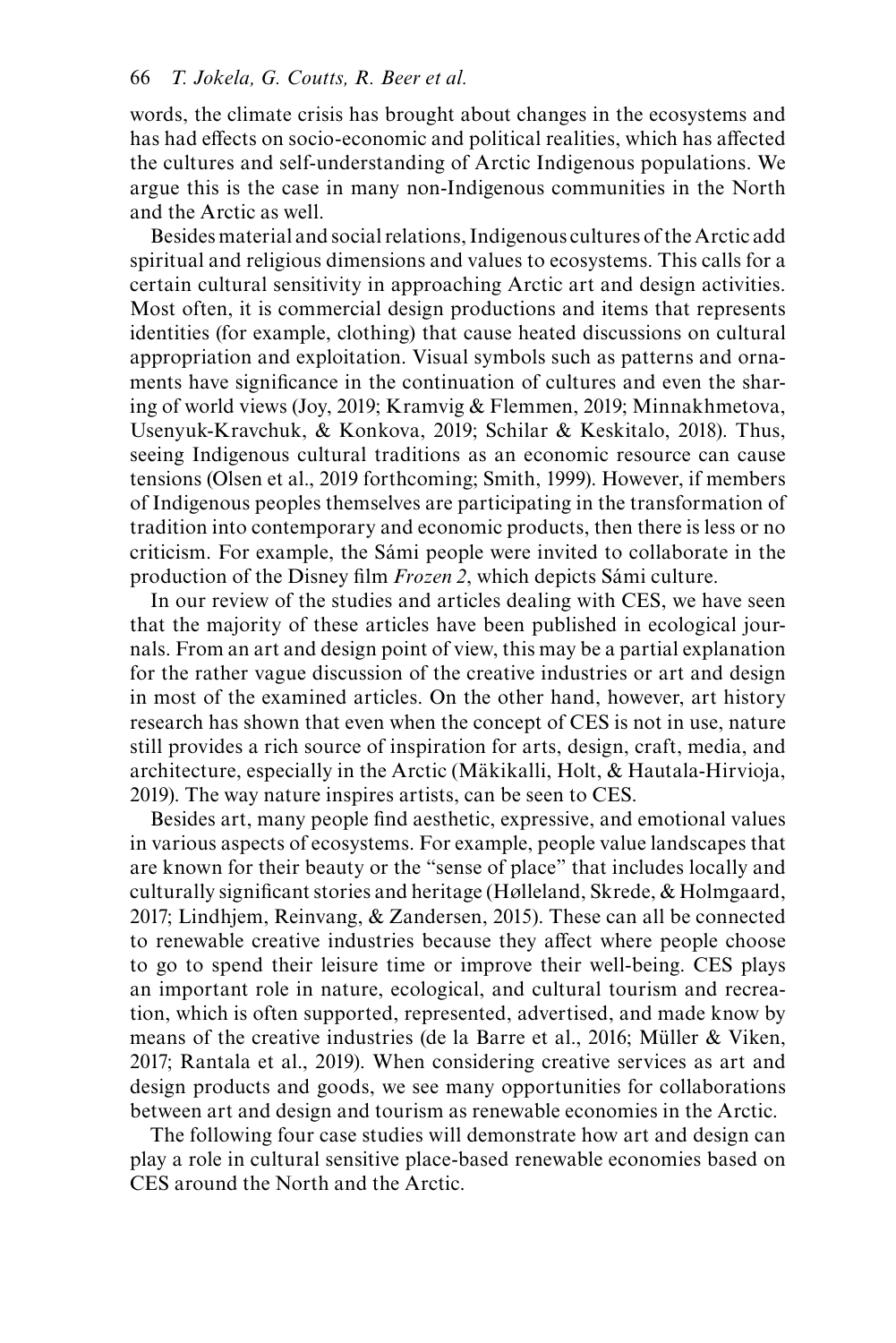words, the climate crisis has brought about changes in the ecosystems and has had effects on socio-economic and political realities, which has affected the cultures and self-understanding of Arctic Indigenous populations. We argue this is the case in many non-Indigenous communities in the North and the Arctic as well.

Besides material and social relations, Indigenous cultures of the Arctic add spiritual and religious dimensions and values to ecosystems. This calls for a certain cultural sensitivity in approaching Arctic art and design activities. Most often, it is commercial design productions and items that represents identities (for example, clothing) that cause heated discussions on cultural appropriation and exploitation. Visual symbols such as patterns and ornaments have significance in the continuation of cultures and even the sharing of world views (Joy, 2019; Kramvig & Flemmen, 2019; Minnakhmetova, Usenyuk-Kravchuk, & Konkova, 2019; Schilar & Keskitalo, 2018). Thus, seeing Indigenous cultural traditions as an economic resource can cause tensions (Olsen et al., 2019 forthcoming; Smith, 1999). However, if members of Indigenous peoples themselves are participating in the transformation of tradition into contemporary and economic products, then there is less or no criticism. For example, the Sámi people were invited to collaborate in the production of the Disney film *Frozen 2*, which depicts Sámi culture.

In our review of the studies and articles dealing with CES, we have seen that the majority of these articles have been published in ecological journals. From an art and design point of view, this may be a partial explanation for the rather vague discussion of the creative industries or art and design in most of the examined articles. On the other hand, however, art history research has shown that even when the concept of CES is not in use, nature still provides a rich source of inspiration for arts, design, craft, media, and architecture, especially in the Arctic (Mäkikalli, Holt, & Hautala-Hirvioja, 2019). The way nature inspires artists, can be seen to CES.

Besides art, many people find aesthetic, expressive, and emotional values in various aspects of ecosystems. For example, people value landscapes that are known for their beauty or the "sense of place" that includes locally and culturally significant stories and heritage (Hølleland, Skrede, & Holmgaard, 2017; Lindhjem, Reinvang, & Zandersen, 2015). These can all be connected to renewable creative industries because they affect where people choose to go to spend their leisure time or improve their well-being. CES plays an important role in nature, ecological, and cultural tourism and recreation, which is often supported, represented, advertised, and made know by means of the creative industries (de la Barre et al., 2016; Müller & Viken, 2017; Rantala et al., 2019). When considering creative services as art and design products and goods, we see many opportunities for collaborations between art and design and tourism as renewable economies in the Arctic.

The following four case studies will demonstrate how art and design can play a role in cultural sensitive place-based renewable economies based on CES around the North and the Arctic.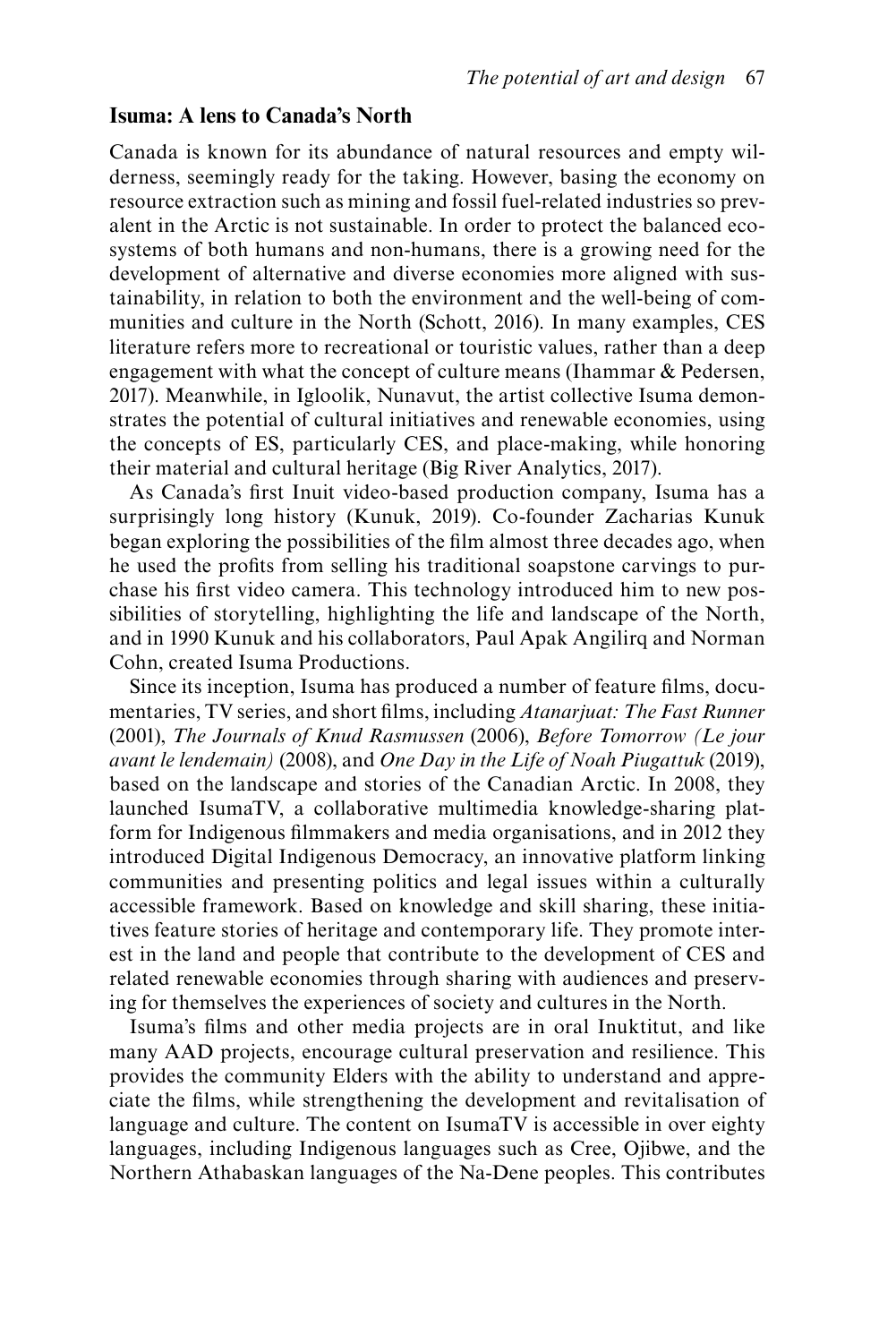#### **Isuma: A lens to Canada's North**

Canada is known for its abundance of natural resources and empty wilderness, seemingly ready for the taking. However, basing the economy on resource extraction such as mining and fossil fuel-related industries so prevalent in the Arctic is not sustainable. In order to protect the balanced ecosystems of both humans and non-humans, there is a growing need for the development of alternative and diverse economies more aligned with sustainability, in relation to both the environment and the well-being of communities and culture in the North (Schott, 2016). In many examples, CES literature refers more to recreational or touristic values, rather than a deep engagement with what the concept of culture means (Ihammar & Pedersen, 2017). Meanwhile, in Igloolik, Nunavut, the artist collective Isuma demonstrates the potential of cultural initiatives and renewable economies, using the concepts of ES, particularly CES, and place-making, while honoring their material and cultural heritage (Big River Analytics, 2017).

As Canada's first Inuit video-based production company, Isuma has a surprisingly long history (Kunuk, 2019). Co-founder Zacharias Kunuk began exploring the possibilities of the film almost three decades ago, when he used the profits from selling his traditional soapstone carvings to purchase his first video camera. This technology introduced him to new possibilities of storytelling, highlighting the life and landscape of the North, and in 1990 Kunuk and his collaborators, Paul Apak Angilirq and Norman Cohn, created Isuma Productions.

Since its inception, Isuma has produced a number of feature films, documentaries, TV series, and short films, including *Atanarjuat: The Fast Runner* (2001), *The Journals of Knud Rasmussen* (2006), *Before Tomorrow (Le jour avant le lendemain)* (2008), and *One Day in the Life of Noah Piugattuk* (2019), based on the landscape and stories of the Canadian Arctic. In 2008, they launched IsumaTV, a collaborative multimedia knowledge-sharing platform for Indigenous filmmakers and media organisations, and in 2012 they introduced Digital Indigenous Democracy, an innovative platform linking communities and presenting politics and legal issues within a culturally accessible framework. Based on knowledge and skill sharing, these initiatives feature stories of heritage and contemporary life. They promote interest in the land and people that contribute to the development of CES and related renewable economies through sharing with audiences and preserving for themselves the experiences of society and cultures in the North.

Isuma's films and other media projects are in oral Inuktitut, and like many AAD projects, encourage cultural preservation and resilience. This provides the community Elders with the ability to understand and appreciate the films, while strengthening the development and revitalisation of language and culture. The content on IsumaTV is accessible in over eighty languages, including Indigenous languages such as Cree, Ojibwe, and the Northern Athabaskan languages of the Na-Dene peoples. This contributes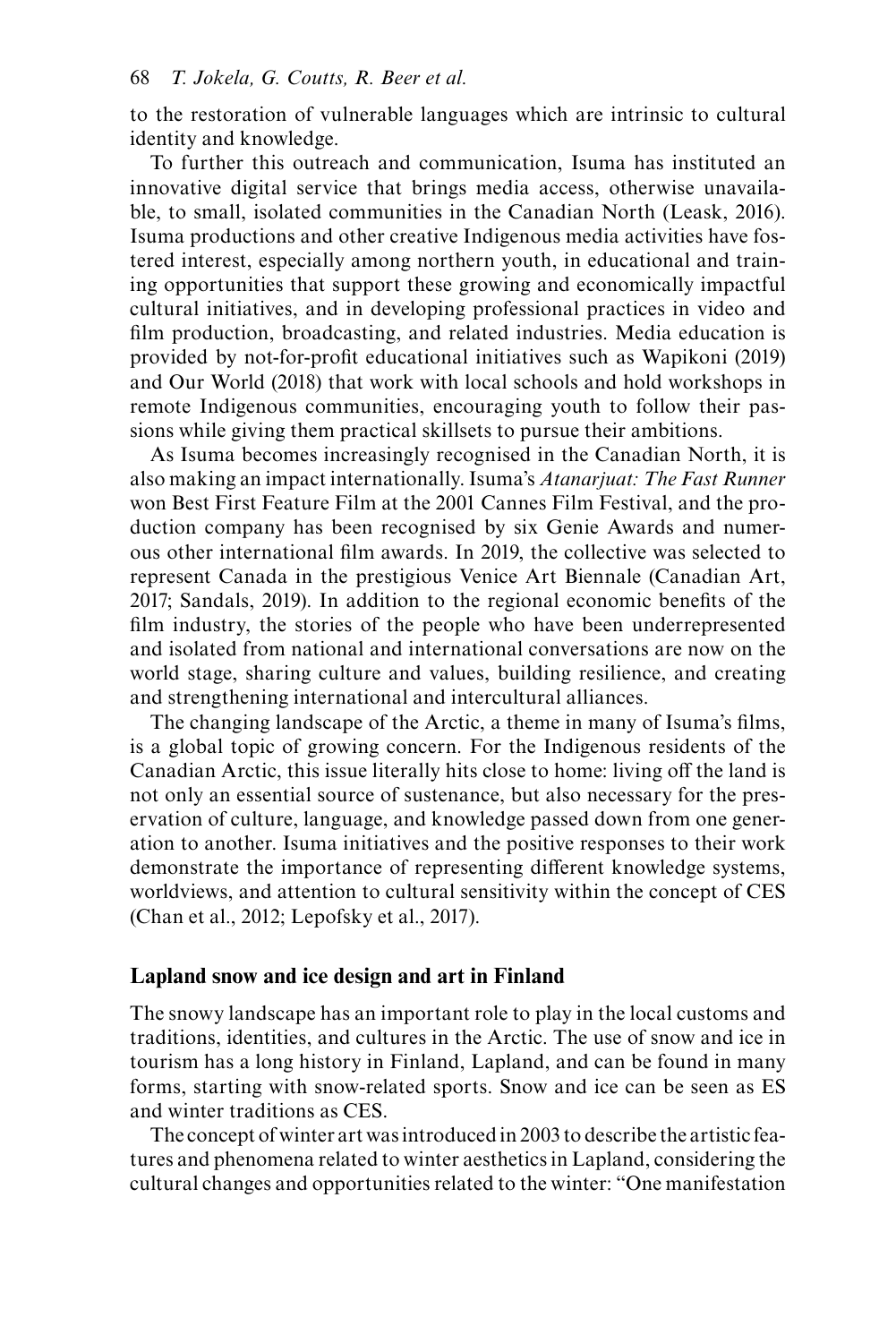to the restoration of vulnerable languages which are intrinsic to cultural identity and knowledge.

To further this outreach and communication, Isuma has instituted an innovative digital service that brings media access, otherwise unavailable, to small, isolated communities in the Canadian North (Leask, 2016). Isuma productions and other creative Indigenous media activities have fostered interest, especially among northern youth, in educational and training opportunities that support these growing and economically impactful cultural initiatives, and in developing professional practices in video and film production, broadcasting, and related industries. Media education is provided by not-for-profit educational initiatives such as Wapikoni (2019) and Our World (2018) that work with local schools and hold workshops in remote Indigenous communities, encouraging youth to follow their passions while giving them practical skillsets to pursue their ambitions.

As Isuma becomes increasingly recognised in the Canadian North, it is also making an impact internationally. Isuma's *Atanarjuat: The Fast Runner* won Best First Feature Film at the 2001 Cannes Film Festival, and the production company has been recognised by six Genie Awards and numerous other international film awards. In 2019, the collective was selected to represent Canada in the prestigious Venice Art Biennale (Canadian Art, 2017; Sandals, 2019). In addition to the regional economic benefits of the film industry, the stories of the people who have been underrepresented and isolated from national and international conversations are now on the world stage, sharing culture and values, building resilience, and creating and strengthening international and intercultural alliances.

The changing landscape of the Arctic, a theme in many of Isuma's films, is a global topic of growing concern. For the Indigenous residents of the Canadian Arctic, this issue literally hits close to home: living off the land is not only an essential source of sustenance, but also necessary for the preservation of culture, language, and knowledge passed down from one generation to another. Isuma initiatives and the positive responses to their work demonstrate the importance of representing different knowledge systems, worldviews, and attention to cultural sensitivity within the concept of CES (Chan et al., 2012; Lepofsky et al., 2017).

#### **Lapland snow and ice design and art in Finland**

The snowy landscape has an important role to play in the local customs and traditions, identities, and cultures in the Arctic. The use of snow and ice in tourism has a long history in Finland, Lapland, and can be found in many forms, starting with snow-related sports. Snow and ice can be seen as ES and winter traditions as CES.

The concept of winter art was introduced in 2003 to describe the artistic features and phenomena related to winter aesthetics in Lapland, considering the cultural changes and opportunities related to the winter: "One manifestation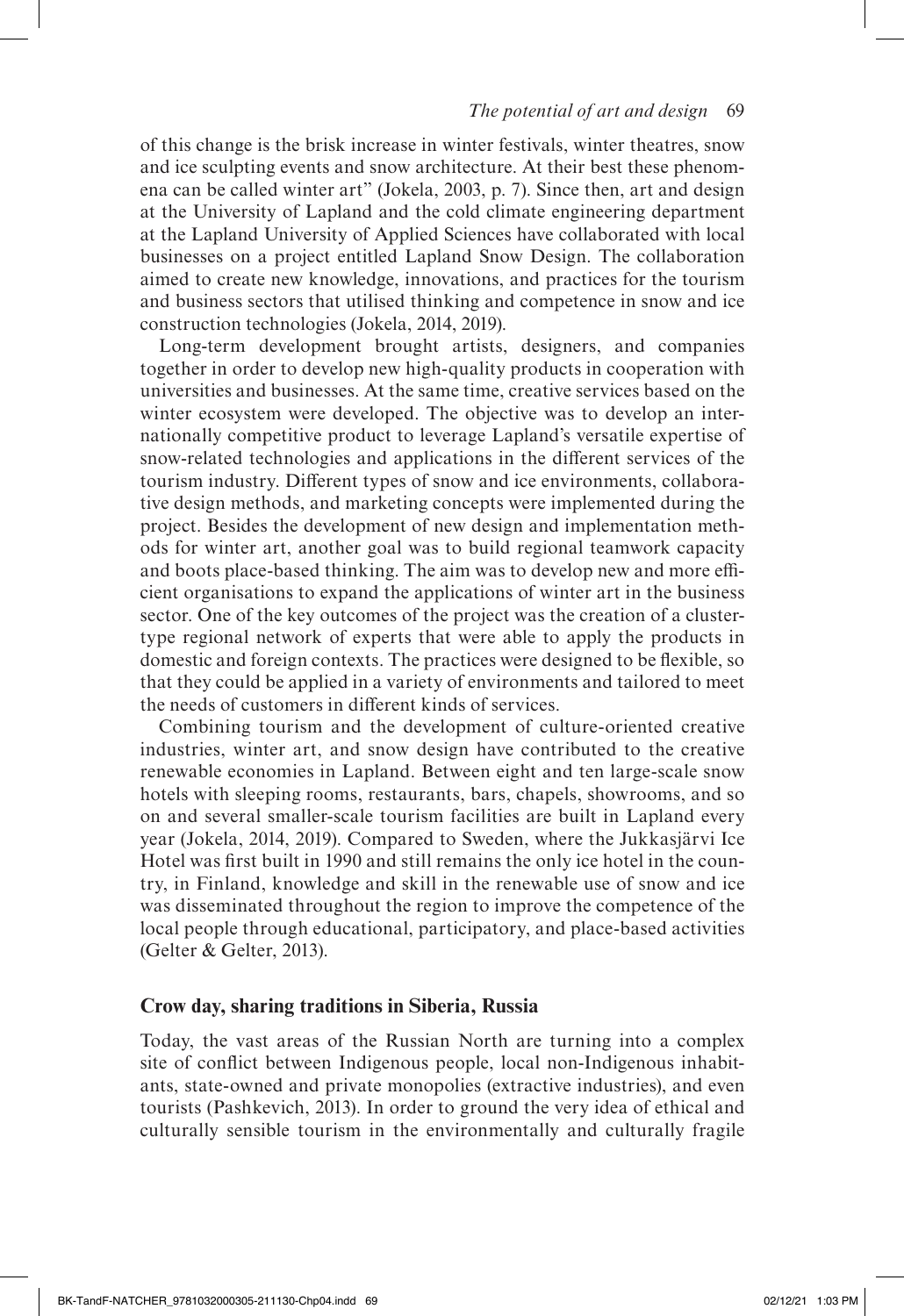of this change is the brisk increase in winter festivals, winter theatres, snow and ice sculpting events and snow architecture. At their best these phenomena can be called winter art" (Jokela, 2003, p. 7). Since then, art and design at the University of Lapland and the cold climate engineering department at the Lapland University of Applied Sciences have collaborated with local businesses on a project entitled Lapland Snow Design. The collaboration aimed to create new knowledge, innovations, and practices for the tourism and business sectors that utilised thinking and competence in snow and ice construction technologies (Jokela, 2014, 2019).

Long-term development brought artists, designers, and companies together in order to develop new high-quality products in cooperation with universities and businesses. At the same time, creative services based on the winter ecosystem were developed. The objective was to develop an internationally competitive product to leverage Lapland's versatile expertise of snow-related technologies and applications in the different services of the tourism industry. Different types of snow and ice environments, collaborative design methods, and marketing concepts were implemented during the project. Besides the development of new design and implementation methods for winter art, another goal was to build regional teamwork capacity and boots place-based thinking. The aim was to develop new and more efficient organisations to expand the applications of winter art in the business sector. One of the key outcomes of the project was the creation of a clustertype regional network of experts that were able to apply the products in domestic and foreign contexts. The practices were designed to be flexible, so that they could be applied in a variety of environments and tailored to meet the needs of customers in different kinds of services.

Combining tourism and the development of culture-oriented creative industries, winter art, and snow design have contributed to the creative renewable economies in Lapland. Between eight and ten large-scale snow hotels with sleeping rooms, restaurants, bars, chapels, showrooms, and so on and several smaller-scale tourism facilities are built in Lapland every year (Jokela, 2014, 2019). Compared to Sweden, where the Jukkasjärvi Ice Hotel was first built in 1990 and still remains the only ice hotel in the country, in Finland, knowledge and skill in the renewable use of snow and ice was disseminated throughout the region to improve the competence of the local people through educational, participatory, and place-based activities (Gelter & Gelter, 2013).

# **Crow day, sharing traditions in Siberia, Russia**

Today, the vast areas of the Russian North are turning into a complex site of conflict between Indigenous people, local non-Indigenous inhabitants, state-owned and private monopolies (extractive industries), and even tourists (Pashkevich, 2013). In order to ground the very idea of ethical and culturally sensible tourism in the environmentally and culturally fragile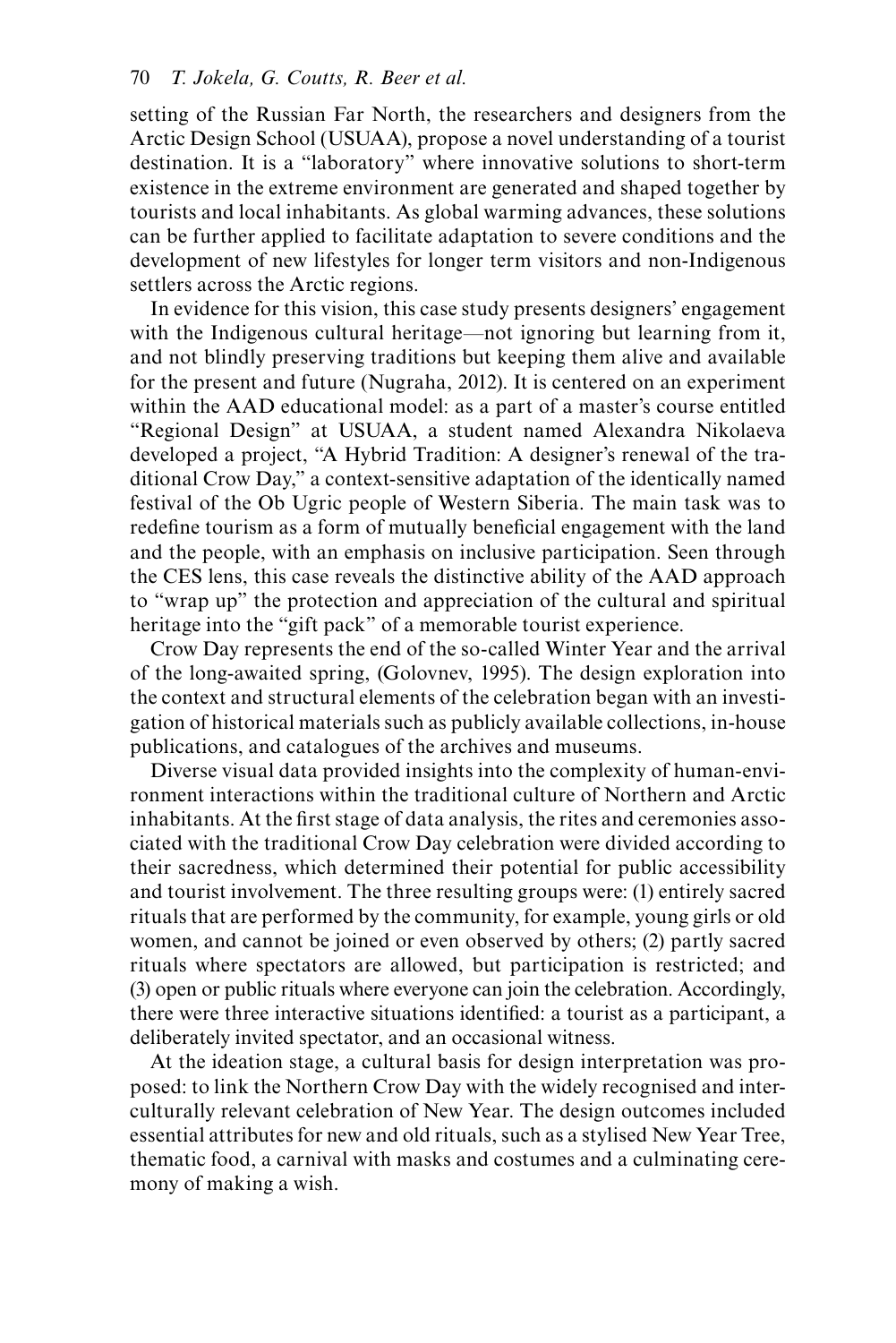#### 70 *T. Jokela, G. Coutts, R. Beer et al.*

setting of the Russian Far North, the researchers and designers from the Arctic Design School (USUAA), propose a novel understanding of a tourist destination. It is a "laboratory" where innovative solutions to short-term existence in the extreme environment are generated and shaped together by tourists and local inhabitants. As global warming advances, these solutions can be further applied to facilitate adaptation to severe conditions and the development of new lifestyles for longer term visitors and non-Indigenous settlers across the Arctic regions.

In evidence for this vision, this case study presents designers' engagement with the Indigenous cultural heritage—not ignoring but learning from it, and not blindly preserving traditions but keeping them alive and available for the present and future (Nugraha, 2012). It is centered on an experiment within the AAD educational model: as a part of a master's course entitled "Regional Design" at USUAA, a student named Alexandra Nikolaeva developed a project, "A Hybrid Tradition: A designer's renewal of the traditional Crow Day," a context-sensitive adaptation of the identically named festival of the Ob Ugric people of Western Siberia. The main task was to redefine tourism as a form of mutually beneficial engagement with the land and the people, with an emphasis on inclusive participation. Seen through the CES lens, this case reveals the distinctive ability of the AAD approach to "wrap up" the protection and appreciation of the cultural and spiritual heritage into the "gift pack" of a memorable tourist experience.

Crow Day represents the end of the so-called Winter Year and the arrival of the long-awaited spring, (Golovnev, 1995). The design exploration into the context and structural elements of the celebration began with an investigation of historical materials such as publicly available collections, in-house publications, and catalogues of the archives and museums.

Diverse visual data provided insights into the complexity of human-environment interactions within the traditional culture of Northern and Arctic inhabitants. At the first stage of data analysis, the rites and ceremonies associated with the traditional Crow Day celebration were divided according to their sacredness, which determined their potential for public accessibility and tourist involvement. The three resulting groups were: (1) entirely sacred rituals that are performed by the community, for example, young girls or old women, and cannot be joined or even observed by others; (2) partly sacred rituals where spectators are allowed, but participation is restricted; and (3) open or public rituals where everyone can join the celebration. Accordingly, there were three interactive situations identified: a tourist as a participant, a deliberately invited spectator, and an occasional witness.

At the ideation stage, a cultural basis for design interpretation was proposed: to link the Northern Crow Day with the widely recognised and interculturally relevant celebration of New Year. The design outcomes included essential attributes for new and old rituals, such as a stylised New Year Tree, thematic food, a carnival with masks and costumes and a culminating ceremony of making a wish.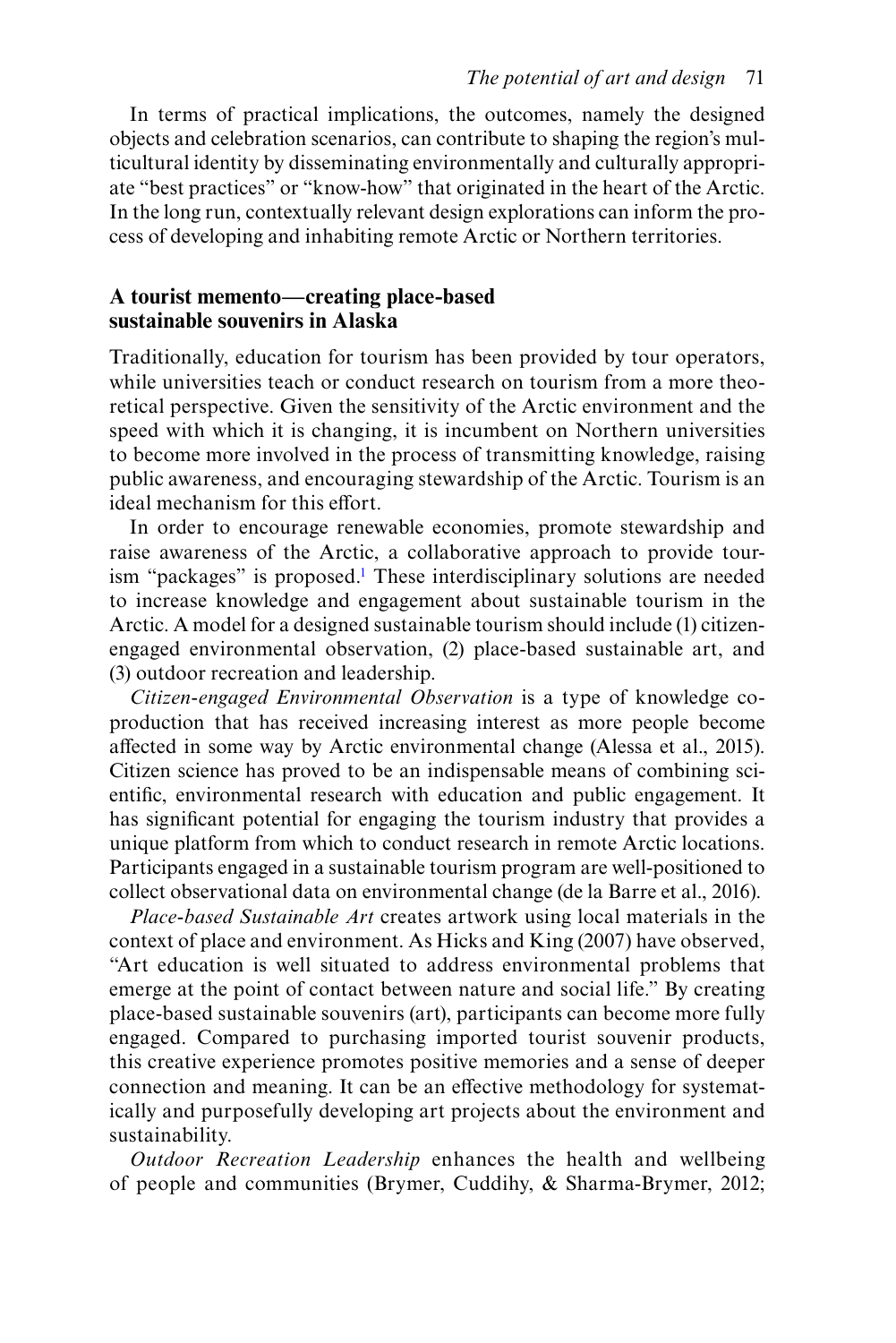In terms of practical implications, the outcomes, namely the designed objects and celebration scenarios, can contribute to shaping the region's multicultural identity by disseminating environmentally and culturally appropriate "best practices" or "know-how" that originated in the heart of the Arctic. In the long run, contextually relevant design explorations can inform the process of developing and inhabiting remote Arctic or Northern territories.

# **A tourist memento—creating place-based sustainable souvenirs in Alaska**

Traditionally, education for tourism has been provided by tour operators, while universities teach or conduct research on tourism from a more theoretical perspective. Given the sensitivity of the Arctic environment and the speed with which it is changing, it is incumbent on Northern universities to become more involved in the process of transmitting knowledge, raising public awareness, and encouraging stewardship of the Arctic. Tourism is an ideal mechanism for this effort.

In order to encourage renewable economies, promote stewardship and raise awareness of the Arctic, a collaborative approach to provide tourism "packages" is proposed.<sup>1</sup> These interdisciplinary solutions are needed to increase knowledge and engagement about sustainable tourism in the Arctic. A model for a designed sustainable tourism should include (1) citizenengaged environmental observation, (2) place-based sustainable art, and (3) outdoor recreation and leadership.

*Citizen-engaged Environmental Observation* is a type of knowledge coproduction that has received increasing interest as more people become affected in some way by Arctic environmental change (Alessa et al., 2015). Citizen science has proved to be an indispensable means of combining scientific, environmental research with education and public engagement. It has significant potential for engaging the tourism industry that provides a unique platform from which to conduct research in remote Arctic locations. Participants engaged in a sustainable tourism program are well-positioned to collect observational data on environmental change (de la Barre et al., 2016).

*Place-based Sustainable Art* creates artwork using local materials in the context of place and environment. As Hicks and King (2007) have observed, "Art education is well situated to address environmental problems that emerge at the point of contact between nature and social life." By creating place-based sustainable souvenirs (art), participants can become more fully engaged. Compared to purchasing imported tourist souvenir products, this creative experience promotes positive memories and a sense of deeper connection and meaning. It can be an effective methodology for systematically and purposefully developing art projects about the environment and sustainability.

*Outdoor Recreation Leadership* enhances the health and wellbeing of people and communities (Brymer, Cuddihy, & Sharma-Brymer, 2012;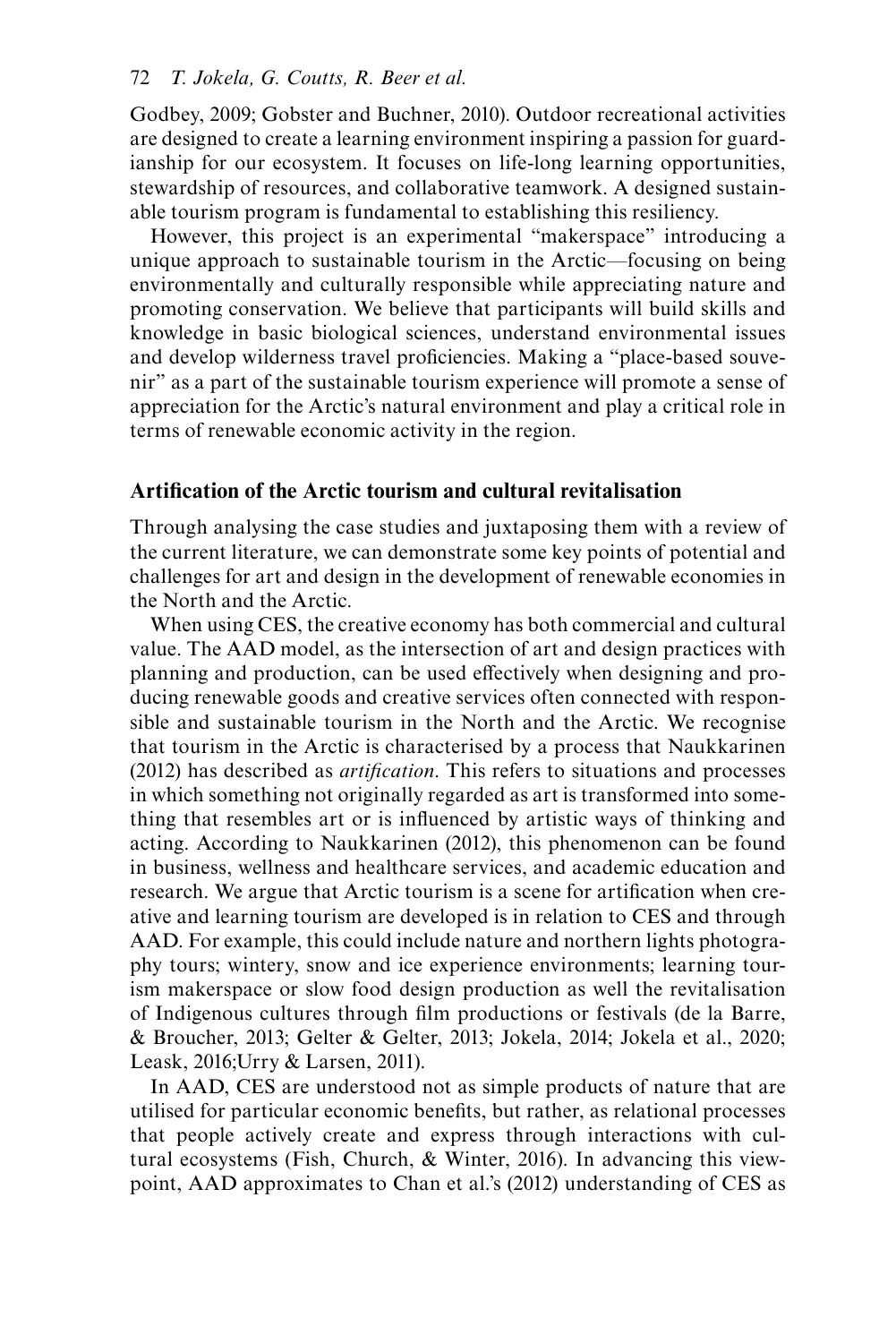# 72 *T. Jokela, G. Coutts, R. Beer et al.*

Godbey, 2009; Gobster and Buchner, 2010). Outdoor recreational activities are designed to create a learning environment inspiring a passion for guardianship for our ecosystem. It focuses on life-long learning opportunities, stewardship of resources, and collaborative teamwork. A designed sustainable tourism program is fundamental to establishing this resiliency.

However, this project is an experimental "makerspace" introducing a unique approach to sustainable tourism in the Arctic—focusing on being environmentally and culturally responsible while appreciating nature and promoting conservation. We believe that participants will build skills and knowledge in basic biological sciences, understand environmental issues and develop wilderness travel proficiencies. Making a "place-based souvenir" as a part of the sustainable tourism experience will promote a sense of appreciation for the Arctic's natural environment and play a critical role in terms of renewable economic activity in the region.

## **Artification of the Arctic tourism and cultural revitalisation**

Through analysing the case studies and juxtaposing them with a review of the current literature, we can demonstrate some key points of potential and challenges for art and design in the development of renewable economies in the North and the Arctic.

When using CES, the creative economy has both commercial and cultural value. The AAD model, as the intersection of art and design practices with planning and production, can be used effectively when designing and producing renewable goods and creative services often connected with responsible and sustainable tourism in the North and the Arctic. We recognise that tourism in the Arctic is characterised by a process that Naukkarinen (2012) has described as *artification*. This refers to situations and processes in which something not originally regarded as art is transformed into something that resembles art or is influenced by artistic ways of thinking and acting. According to Naukkarinen (2012), this phenomenon can be found in business, wellness and healthcare services, and academic education and research. We argue that Arctic tourism is a scene for artification when creative and learning tourism are developed is in relation to CES and through AAD. For example, this could include nature and northern lights photography tours; wintery, snow and ice experience environments; learning tourism makerspace or slow food design production as well the revitalisation of Indigenous cultures through film productions or festivals (de la Barre, & Broucher, 2013; Gelter & Gelter, 2013; Jokela, 2014; Jokela et al., 2020; Leask, 2016;Urry & Larsen, 2011).

In AAD, CES are understood not as simple products of nature that are utilised for particular economic benefits, but rather, as relational processes that people actively create and express through interactions with cultural ecosystems (Fish, Church, & Winter, 2016). In advancing this viewpoint, AAD approximates to Chan et al.'s (2012) understanding of CES as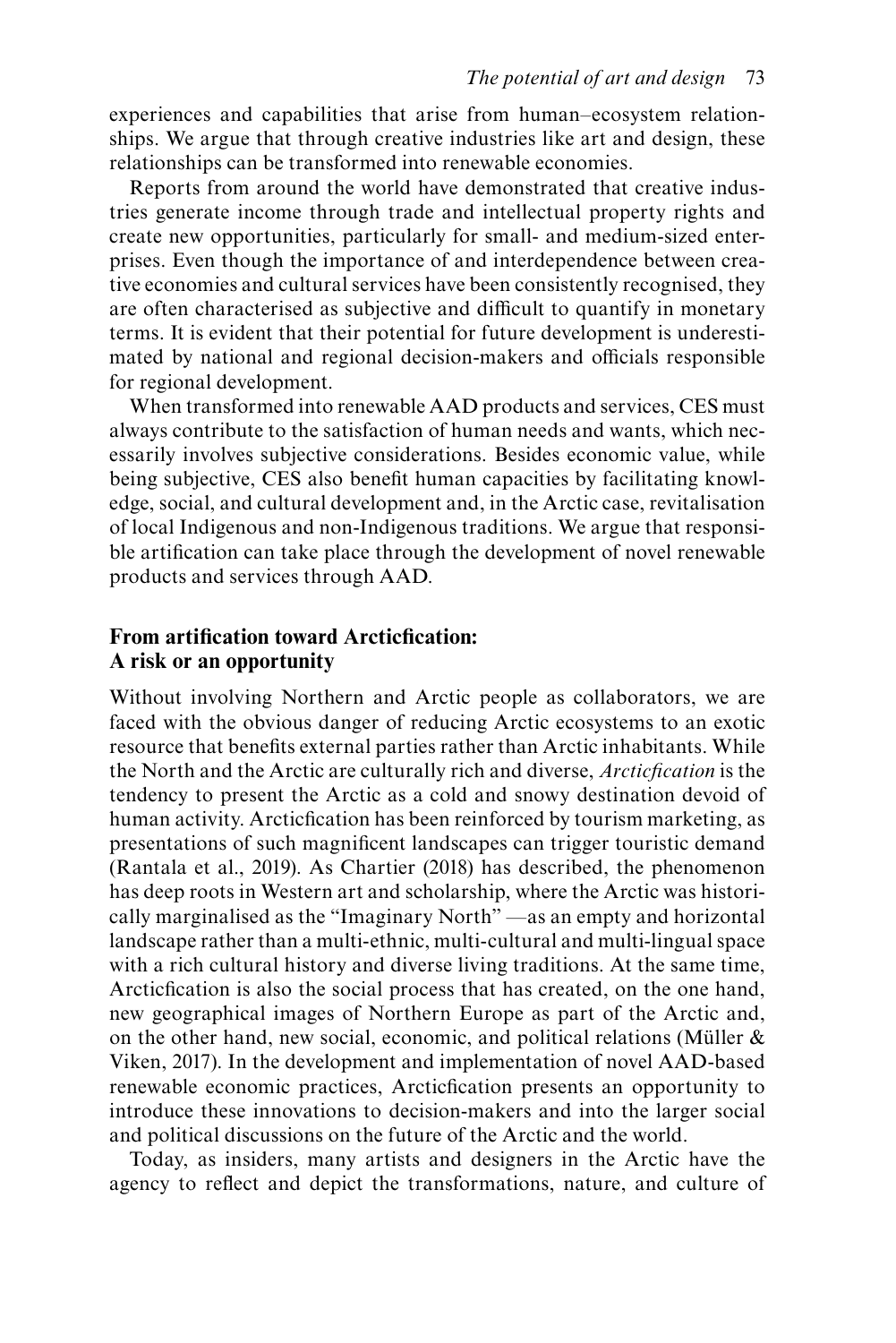experiences and capabilities that arise from human–ecosystem relationships. We argue that through creative industries like art and design, these relationships can be transformed into renewable economies.

Reports from around the world have demonstrated that creative industries generate income through trade and intellectual property rights and create new opportunities, particularly for small- and medium-sized enterprises. Even though the importance of and interdependence between creative economies and cultural services have been consistently recognised, they are often characterised as subjective and difficult to quantify in monetary terms. It is evident that their potential for future development is underestimated by national and regional decision-makers and officials responsible for regional development.

When transformed into renewable AAD products and services, CES must always contribute to the satisfaction of human needs and wants, which necessarily involves subjective considerations. Besides economic value, while being subjective, CES also benefit human capacities by facilitating knowledge, social, and cultural development and, in the Arctic case, revitalisation of local Indigenous and non-Indigenous traditions. We argue that responsible artification can take place through the development of novel renewable products and services through AAD.

# **From artification toward Arcticfication: A risk or an opportunity**

Without involving Northern and Arctic people as collaborators, we are faced with the obvious danger of reducing Arctic ecosystems to an exotic resource that benefits external parties rather than Arctic inhabitants. While the North and the Arctic are culturally rich and diverse, *Arcticfication* is the tendency to present the Arctic as a cold and snowy destination devoid of human activity. Arcticfication has been reinforced by tourism marketing, as presentations of such magnificent landscapes can trigger touristic demand (Rantala et al., 2019). As Chartier (2018) has described, the phenomenon has deep roots in Western art and scholarship, where the Arctic was historically marginalised as the "Imaginary North" —as an empty and horizontal landscape rather than a multi-ethnic, multi-cultural and multi-lingual space with a rich cultural history and diverse living traditions. At the same time, Arcticfication is also the social process that has created, on the one hand, new geographical images of Northern Europe as part of the Arctic and, on the other hand, new social, economic, and political relations (Müller & Viken, 2017). In the development and implementation of novel AAD-based renewable economic practices, Arcticfication presents an opportunity to introduce these innovations to decision-makers and into the larger social and political discussions on the future of the Arctic and the world.

Today, as insiders, many artists and designers in the Arctic have the agency to reflect and depict the transformations, nature, and culture of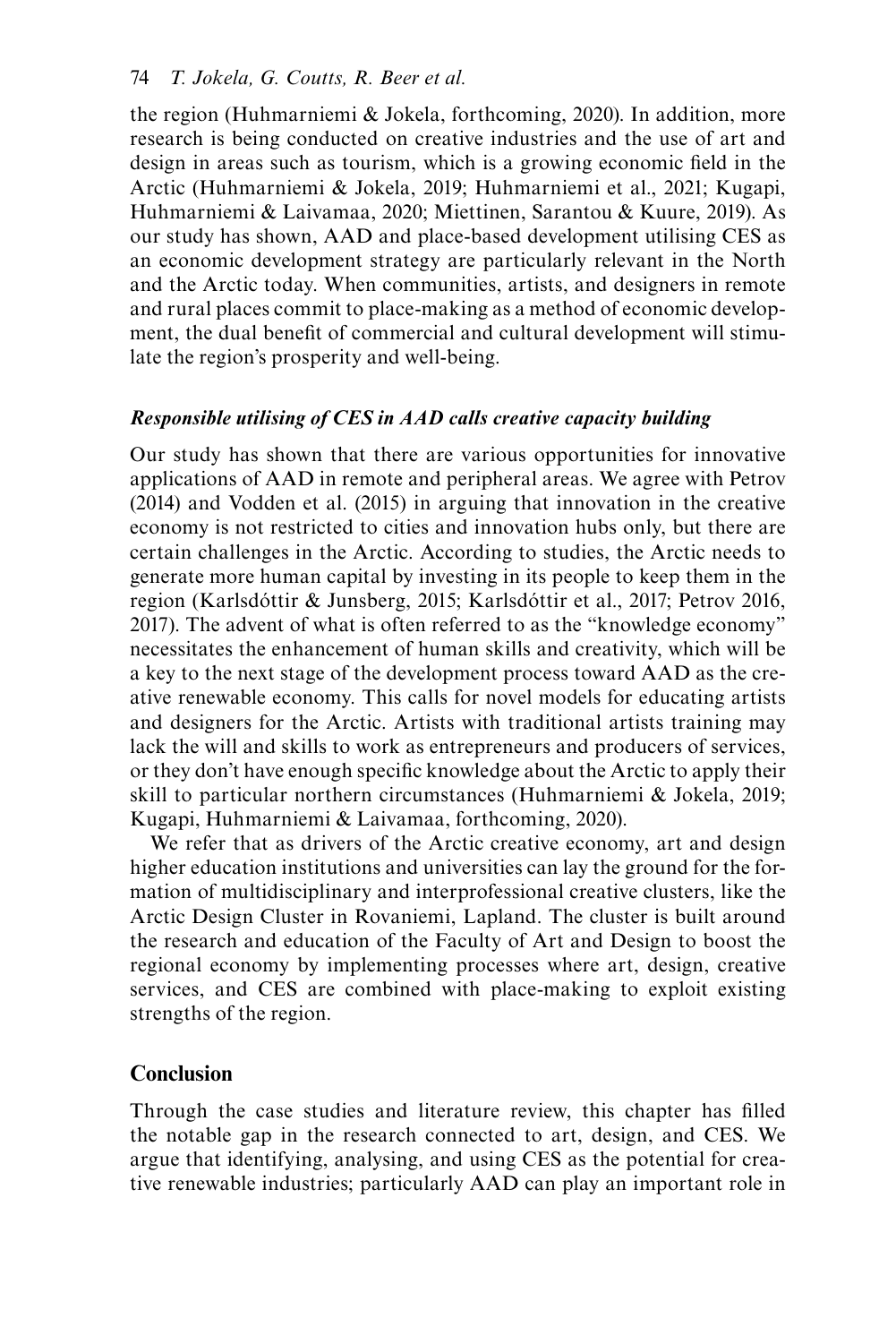#### 74 *T. Jokela, G. Coutts, R. Beer et al.*

the region (Huhmarniemi & Jokela, forthcoming, 2020). In addition, more research is being conducted on creative industries and the use of art and design in areas such as tourism, which is a growing economic field in the Arctic (Huhmarniemi & Jokela, 2019; Huhmarniemi et al., 2021; Kugapi, Huhmarniemi & Laivamaa, 2020; Miettinen, Sarantou & Kuure, 2019). As our study has shown, AAD and place-based development utilising CES as an economic development strategy are particularly relevant in the North and the Arctic today. When communities, artists, and designers in remote and rural places commit to place-making as a method of economic development, the dual benefit of commercial and cultural development will stimulate the region's prosperity and well-being.

#### *Responsible utilising of CES in AAD calls creative capacity building*

Our study has shown that there are various opportunities for innovative applications of AAD in remote and peripheral areas. We agree with Petrov (2014) and Vodden et al. (2015) in arguing that innovation in the creative economy is not restricted to cities and innovation hubs only, but there are certain challenges in the Arctic. According to studies, the Arctic needs to generate more human capital by investing in its people to keep them in the region (Karlsdóttir & Junsberg, 2015; Karlsdóttir et al., 2017; Petrov 2016, 2017). The advent of what is often referred to as the "knowledge economy" necessitates the enhancement of human skills and creativity, which will be a key to the next stage of the development process toward AAD as the creative renewable economy. This calls for novel models for educating artists and designers for the Arctic. Artists with traditional artists training may lack the will and skills to work as entrepreneurs and producers of services, or they don't have enough specific knowledge about the Arctic to apply their skill to particular northern circumstances (Huhmarniemi & Jokela, 2019; Kugapi, Huhmarniemi & Laivamaa, forthcoming, 2020).

We refer that as drivers of the Arctic creative economy, art and design higher education institutions and universities can lay the ground for the formation of multidisciplinary and interprofessional creative clusters, like the Arctic Design Cluster in Rovaniemi, Lapland. The cluster is built around the research and education of the Faculty of Art and Design to boost the regional economy by implementing processes where art, design, creative services, and CES are combined with place-making to exploit existing strengths of the region.

### **Conclusion**

Through the case studies and literature review, this chapter has filled the notable gap in the research connected to art, design, and CES. We argue that identifying, analysing, and using CES as the potential for creative renewable industries; particularly AAD can play an important role in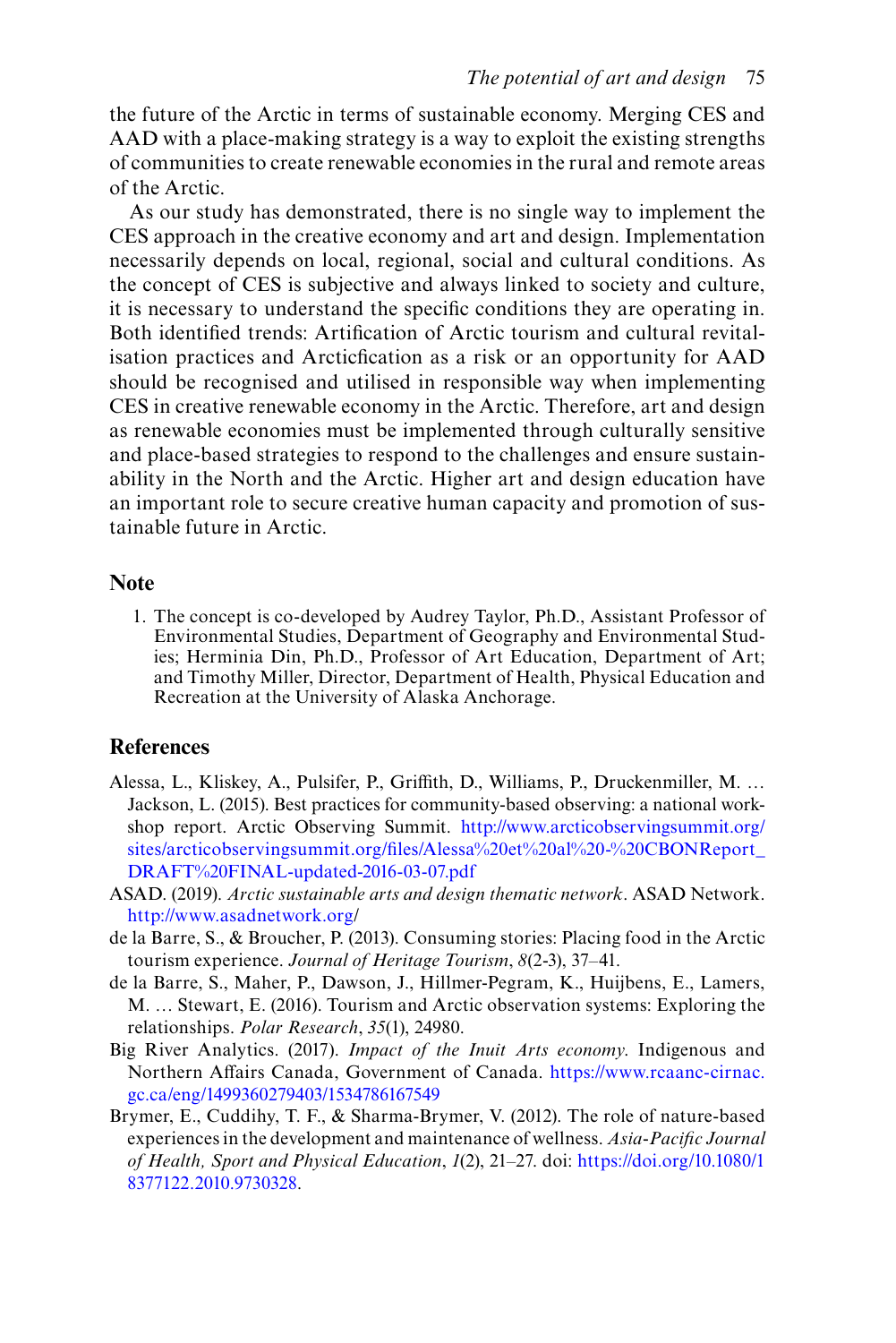the future of the Arctic in terms of sustainable economy. Merging CES and AAD with a place-making strategy is a way to exploit the existing strengths of communities to create renewable economies in the rural and remote areas of the Arctic.

As our study has demonstrated, there is no single way to implement the CES approach in the creative economy and art and design. Implementation necessarily depends on local, regional, social and cultural conditions. As the concept of CES is subjective and always linked to society and culture, it is necessary to understand the specific conditions they are operating in. Both identified trends: Artification of Arctic tourism and cultural revitalisation practices and Arcticfication as a risk or an opportunity for AAD should be recognised and utilised in responsible way when implementing CES in creative renewable economy in the Arctic. Therefore, art and design as renewable economies must be implemented through culturally sensitive and place-based strategies to respond to the challenges and ensure sustainability in the North and the Arctic. Higher art and design education have an important role to secure creative human capacity and promotion of sustainable future in Arctic.

#### **Note**

1. The concept is co-developed by Audrey Taylor, Ph.D., Assistant Professor of Environmental Studies, Department of Geography and Environmental Studies; Herminia Din, Ph.D., Professor of Art Education, Department of Art; and Timothy Miller, Director, Department of Health, Physical Education and Recreation at the University of Alaska Anchorage.

#### **References**

- Alessa, L., Kliskey, A., Pulsifer, P., Griffith, D., Williams, P., Druckenmiller, M. … Jackson, L. (2015). Best practices for community-based observing: a national workshop report. Arctic Observing Summit. [http://www.arcticobservingsummit.org/](http://www.arcticobservingsummit.org) [sites/arcticobservingsummit.org/files/Alessa%20et%20al%20-%20CBONReport\\_](http://www.arcticobservingsummit.org) [DRAFT%20FINAL-updated-2016-03-07.pdf](http://www.arcticobservingsummit.org)
- ASAD. (2019). *Arctic sustainable arts and design thematic network*. ASAD Network. [http://www.asadnetwork.org/](http://www.asadnetwork.org)
- de la Barre, S., & Broucher, P. (2013). Consuming stories: Placing food in the Arctic tourism experience. *Journal of Heritage Tourism*, *8*(2-3), 37–41.
- de la Barre, S., Maher, P., Dawson, J., Hillmer-Pegram, K., Huijbens, E., Lamers, M. … Stewart, E. (2016). Tourism and Arctic observation systems: Exploring the relationships. *Polar Research*, *35*(1), 24980.
- Big River Analytics. (2017). *Impact of the Inuit Arts economy*. Indigenous and Northern Affairs Canada, Government of Canada. [https://www.rcaanc-cirnac.](https://www.rcaanc-cirnac.gc.ca) [gc.ca/eng/1499360279403/1534786167549](https://www.rcaanc-cirnac.gc.ca)
- Brymer, E., Cuddihy, T. F., & Sharma-Brymer, V. (2012). The role of nature-based experiences in the development and maintenance of wellness. *Asia-Pacific Journal of Health, Sport and Physical Education*, *1*(2), 21–27. doi: [https://doi.org/10.1080/1](https://doi.org/10.1080/18377122.2010.9730328) [8377122.2010.9730328.](https://doi.org/10.1080/18377122.2010.9730328)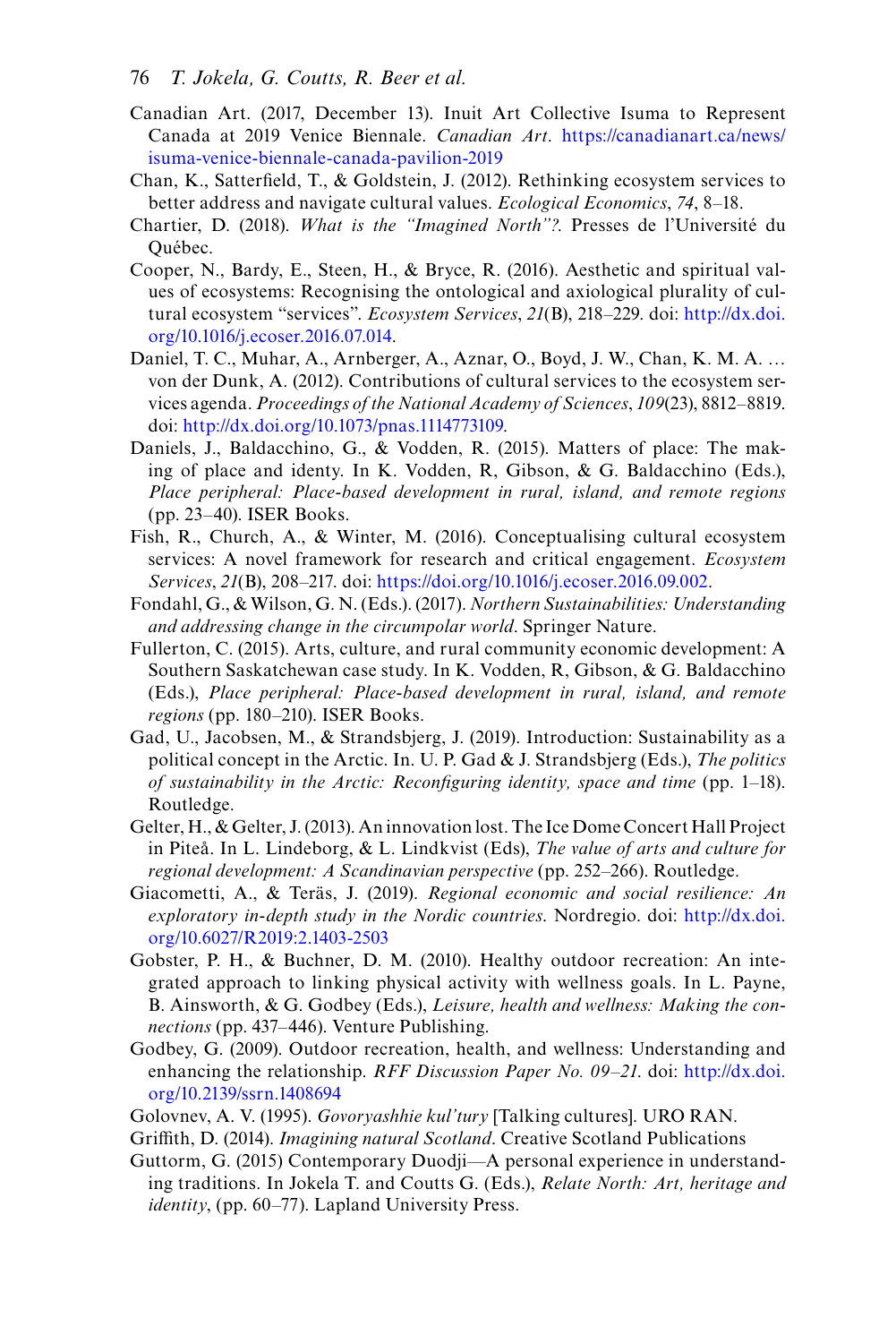- Canadian Art. (2017, December 13). Inuit Art Collective Isuma to Represent Canada at 2019 Venice Biennale. *Canadian Art*. [https://canadianart.ca/news/](https://canadianart.ca) [isuma-venice-biennale-canada-pavilion-2019](https://canadianart.ca)
- Chan, K., Satterfield, T., & Goldstein, J. (2012). Rethinking ecosystem services to better address and navigate cultural values. *Ecological Economics*, *74*, 8–18.
- Chartier, D. (2018). *What is the "Imagined North"?*. Presses de l'Université du Québec.
- Cooper, N., Bardy, E., Steen, H., & Bryce, R. (2016). Aesthetic and spiritual values of ecosystems: Recognising the ontological and axiological plurality of cultural ecosystem "services". *Ecosystem Services*, *21*(B), 218–229. doi: [http://dx.doi.](http://dx.doi.org) [org/10.1016/j.ecoser.2016.07.014.](http://dx.doi.org)
- Daniel, T. C., Muhar, A., Arnberger, A., Aznar, O., Boyd, J. W., Chan, K. M. A. … von der Dunk, A. (2012). Contributions of cultural services to the ecosystem services agenda. *Proceedings of the National Academy of Sciences*, *109*(23), 8812–8819. doi: [http://dx.doi.org/10.1073/pnas.1114773109](http://dx.doi.org).
- Daniels, J., Baldacchino, G., & Vodden, R. (2015). Matters of place: The making of place and identy. In K. Vodden, R, Gibson, & G. Baldacchino (Eds.), *Place peripheral: Place-based development in rural, island, and remote regions* (pp. 23–40). ISER Books.
- Fish, R., Church, A., & Winter, M. (2016). Conceptualising cultural ecosystem services: A novel framework for research and critical engagement. *Ecosystem Services*, *21*(B), 208–217. doi: [https://doi.org/10.1016/j.ecoser.2016.09.002.](https://doi.org/10.1016/j.ecoser.2016.09.002)
- Fondahl, G., & Wilson, G. N. (Eds.). (2017). *Northern Sustainabilities: Understanding and addressing change in the circumpolar world*. Springer Nature.
- Fullerton, C. (2015). Arts, culture, and rural community economic development: A Southern Saskatchewan case study. In K. Vodden, R, Gibson, & G. Baldacchino (Eds.), *Place peripheral: Place-based development in rural, island, and remote regions* (pp. 180–210). ISER Books.
- Gad, U., Jacobsen, M., & Strandsbjerg, J. (2019). Introduction: Sustainability as a political concept in the Arctic. In. U. P. Gad & J. Strandsbjerg (Eds.), *The politics of sustainability in the Arctic: Reconfiguring identity, space and time* (pp. 1–18). Routledge.
- Gelter, H., & Gelter, J. (2013). An innovation lost. The Ice Dome Concert Hall Project in Piteå. In L. Lindeborg, & L. Lindkvist (Eds), *The value of arts and culture for regional development: A Scandinavian perspective* (pp. 252–266). Routledge.
- Giacometti, A., & Teräs, J. (2019). *Regional economic and social resilience: An exploratory in-depth study in the Nordic countries*. Nordregio. doi: [http://dx.doi.](http://dx.doi.org) [org/10.6027/R2019:2.1403-2503](http://dx.doi.org)
- Gobster, P. H., & Buchner, D. M. (2010). Healthy outdoor recreation: An integrated approach to linking physical activity with wellness goals. In L. Payne, B. Ainsworth, & G. Godbey (Eds.), *Leisure, health and wellness: Making the connections* (pp. 437–446). Venture Publishing.
- Godbey, G. (2009). Outdoor recreation, health, and wellness: Understanding and enhancing the relationship. *RFF Discussion Paper No. 09–21*. doi: [http://dx.doi.](http://dx.doi.org) [org/10.2139/ssrn.1408694](http://dx.doi.org)
- Golovnev, A. V. (1995). *Govoryashhie kul'tury* [Talking cultures]. URO RAN.
- Griffith, D. (2014). *Imagining natural Scotland*. Creative Scotland Publications
- Guttorm, G. (2015) Contemporary Duodji—A personal experience in understanding traditions. In Jokela T. and Coutts G. (Eds.), *Relate North: Art, heritage and identity*, (pp. 60–77). Lapland University Press.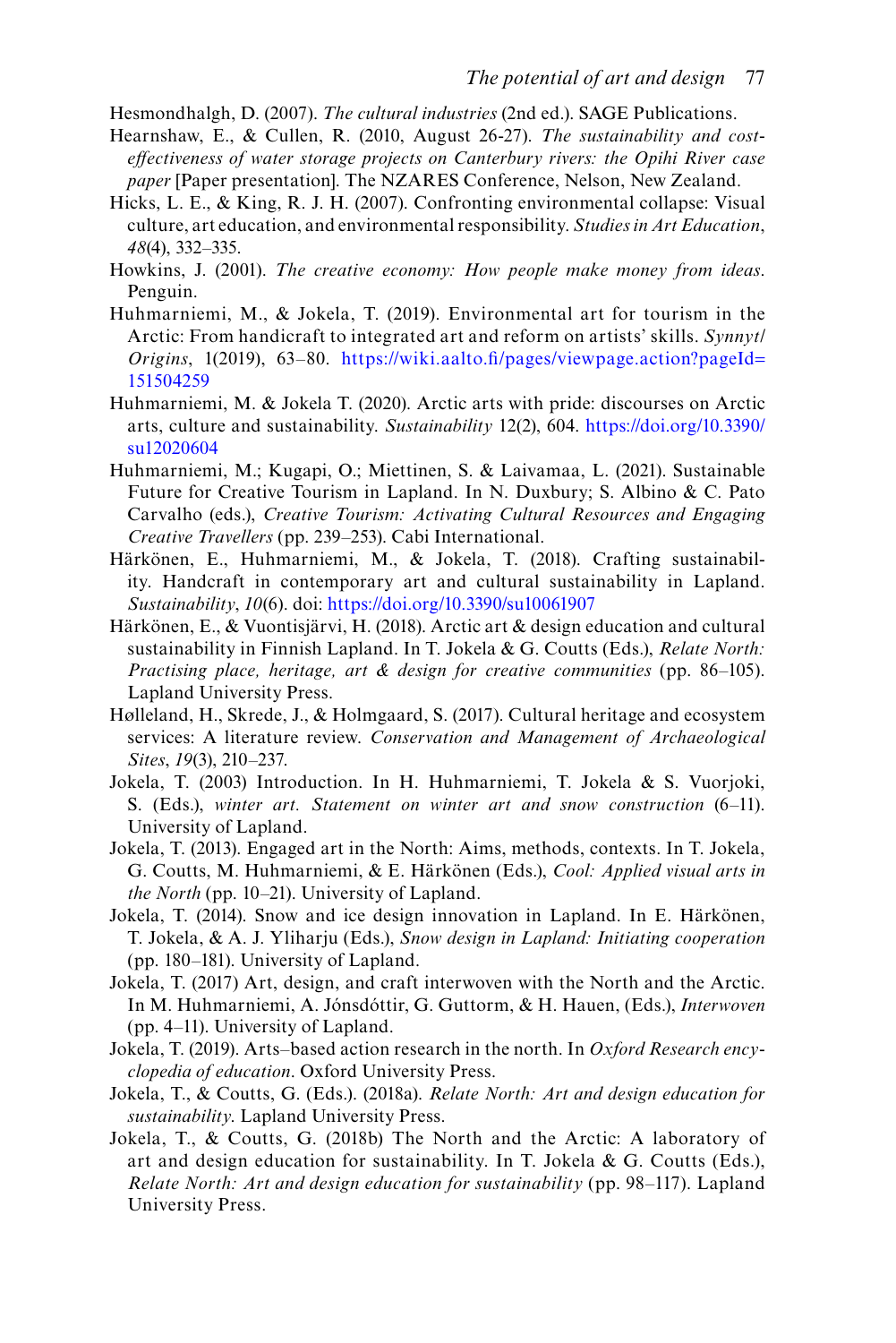Hesmondhalgh, D. (2007). *The cultural industries* (2nd ed.). SAGE Publications.

- Hearnshaw, E., & Cullen, R. (2010, August 26-27). *The sustainability and costeffectiveness of water storage projects on Canterbury rivers: the Opihi River case paper* [Paper presentation]. The NZARES Conference, Nelson, New Zealand.
- Hicks, L. E., & King, R. J. H. (2007). Confronting environmental collapse: Visual culture, art education, and environmental responsibility. *Studies in Art Education*, *48*(4), 332–335.
- Howkins, J. (2001). *The creative economy: How people make money from ideas*. Penguin.
- Huhmarniemi, M., & Jokela, T. (2019). Environmental art for tourism in the Arctic: From handicraft to integrated art and reform on artists' skills. *Synnyt/ Origins*, 1(2019), 63–80. [https://wiki.aalto.fi/pages/viewpage.action?pageId](https://wiki.aalto.fi)= [151504259](https://wiki.aalto.fi)
- Huhmarniemi, M. & Jokela T. (2020). Arctic arts with pride: discourses on Arctic arts, culture and sustainability. *Sustainability* 12(2), 604. [https://doi.org/10.3390/](https://doi.org/10.3390/su12020604) [su12020604](https://doi.org/10.3390/su12020604)
- Huhmarniemi, M.; Kugapi, O.; Miettinen, S. & Laivamaa, L. (2021). Sustainable Future for Creative Tourism in Lapland. In N. Duxbury; S. Albino & C. Pato Carvalho (eds.), *Creative Tourism: Activating Cultural Resources and Engaging Creative Travellers* (pp. 239–253). Cabi International.
- Härkönen, E., Huhmarniemi, M., & Jokela, T. (2018). Crafting sustainability. Handcraft in contemporary art and cultural sustainability in Lapland. *Sustainability*, *10*(6). doi: <https://doi.org/10.3390/su10061907>
- Härkönen, E., & Vuontisjärvi, H. (2018). Arctic art & design education and cultural sustainability in Finnish Lapland. In T. Jokela & G. Coutts (Eds.), *Relate North: Practising place, heritage, art & design for creative communities* (pp. 86–105). Lapland University Press.
- Hølleland, H., Skrede, J., & Holmgaard, S. (2017). Cultural heritage and ecosystem services: A literature review. *Conservation and Management of Archaeological Sites*, *19*(3), 210–237.
- Jokela, T. (2003) Introduction. In H. Huhmarniemi, T. Jokela & S. Vuorjoki, S. (Eds.), *winter art. Statement on winter art and snow construction* (6–11). University of Lapland.
- Jokela, T. (2013). Engaged art in the North: Aims, methods, contexts. In T. Jokela, G. Coutts, M. Huhmarniemi, & E. Härkönen (Eds.), *Cool: Applied visual arts in the North* (pp. 10–21). University of Lapland.
- Jokela, T. (2014). Snow and ice design innovation in Lapland. In E. Härkönen, T. Jokela, & A. J. Yliharju (Eds.), *Snow design in Lapland: Initiating cooperation* (pp. 180–181). University of Lapland.
- Jokela, T. (2017) Art, design, and craft interwoven with the North and the Arctic. In M. Huhmarniemi, A. Jónsdóttir, G. Guttorm, & H. Hauen, (Eds.), *Interwoven* (pp. 4–11). University of Lapland.
- Jokela, T. (2019). Arts–based action research in the north. In *Oxford Research encyclopedia of education*. Oxford University Press.
- Jokela, T., & Coutts, G. (Eds.). (2018a). *Relate North: Art and design education for sustainability*. Lapland University Press.
- Jokela, T., & Coutts, G. (2018b) The North and the Arctic: A laboratory of art and design education for sustainability. In T. Jokela & G. Coutts (Eds.), *Relate North: Art and design education for sustainability* (pp. 98–117). Lapland University Press.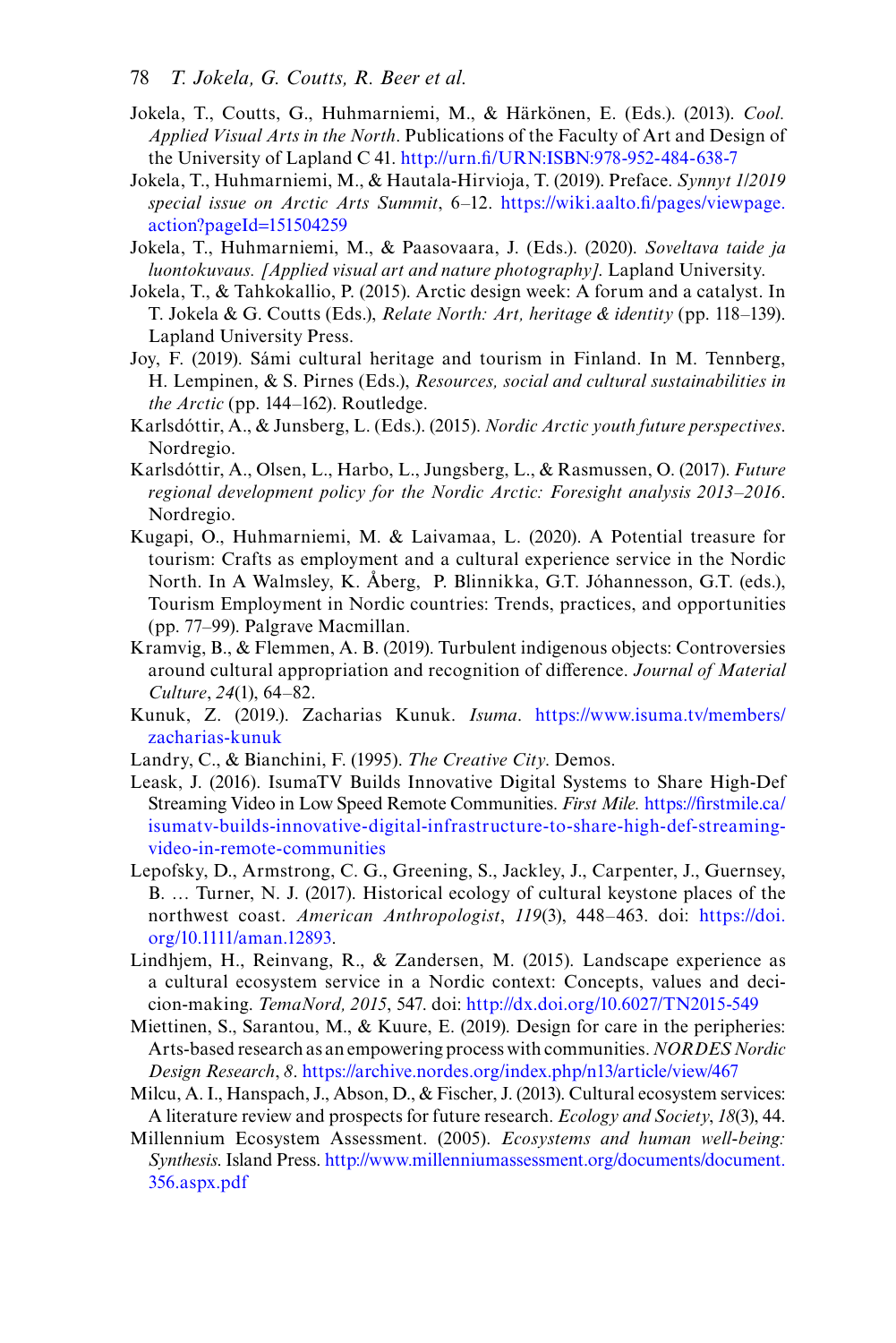- Jokela, T., Coutts, G., Huhmarniemi, M., & Härkönen, E. (Eds.). (2013). *Cool. Applied Visual Arts in the North*. Publications of the Faculty of Art and Design of the University of Lapland C 41. [http://urn.fi/URN:ISBN:978-952-484-638-7](http://urn.fi)
- Jokela, T., Huhmarniemi, M., & Hautala-Hirvioja, T. (2019). Preface. *Synnyt 1/2019 special issue on Arctic Arts Summit*, 6–12. [https://wiki.aalto.fi/pages/viewpage.](https://wiki.aalto.fi) [action?pageId](https://wiki.aalto.fi)=151504259
- Jokela, T., Huhmarniemi, M., & Paasovaara, J. (Eds.). (2020). *Soveltava taide ja luontokuvaus. [Applied visual art and nature photography]*. Lapland University.
- Jokela, T., & Tahkokallio, P. (2015). Arctic design week: A forum and a catalyst. In T. Jokela & G. Coutts (Eds.), *Relate North: Art, heritage & identity* (pp. 118–139). Lapland University Press.
- Joy, F. (2019). Sámi cultural heritage and tourism in Finland. In M. Tennberg, H. Lempinen, & S. Pirnes (Eds.), *Resources, social and cultural sustainabilities in the Arctic* (pp. 144–162). Routledge.
- Karlsdóttir, A., & Junsberg, L. (Eds.). (2015). *Nordic Arctic youth future perspectives*. Nordregio.
- Karlsdóttir, A., Olsen, L., Harbo, L., Jungsberg, L., & Rasmussen, O. (2017). *Future regional development policy for the Nordic Arctic: Foresight analysis 2013–2016*. Nordregio.
- Kugapi, O., Huhmarniemi, M. & Laivamaa, L. (2020). A Potential treasure for tourism: Crafts as employment and a cultural experience service in the Nordic North. In A Walmsley, K. Åberg, P. Blinnikka, G.T. Jóhannesson, G.T. (eds.), Tourism Employment in Nordic countries: Trends, practices, and opportunities (pp. 77–99). Palgrave Macmillan.
- Kramvig, B., & Flemmen, A. B. (2019). Turbulent indigenous objects: Controversies around cultural appropriation and recognition of difference. *Journal of Material Culture*, *24*(1), 64–82.
- Kunuk, Z. (2019.). Zacharias Kunuk. *Isuma*. [https://www.isuma.tv/members/](https://www.isuma.tv) [zacharias-kunuk](https://www.isuma.tv)
- Landry, C., & Bianchini, F. (1995). *The Creative City*. Demos.
- Leask, J. (2016). IsumaTV Builds Innovative Digital Systems to Share High-Def Streaming Video in Low Speed Remote Communities. *First Mile.* [https://firstmile.ca/](https://firstmile.ca) [isumatv-builds-innovative-digital-infrastructure-to-share-high-def-streaming](https://firstmile.ca)[video-in-remote-communities](https://firstmile.ca)
- Lepofsky, D., Armstrong, C. G., Greening, S., Jackley, J., Carpenter, J., Guernsey, B. … Turner, N. J. (2017). Historical ecology of cultural keystone places of the northwest coast. *American Anthropologist*, *119*(3), 448–463. doi: [https://doi.](https://doi.org/10.1111/aman.12893) [org/10.1111/aman.12893.](https://doi.org/10.1111/aman.12893)
- Lindhjem, H., Reinvang, R., & Zandersen, M. (2015). Landscape experience as a cultural ecosystem service in a Nordic context: Concepts, values and decicion-making. *TemaNord, 2015*, 547. doi: [http://dx.doi.org/10.6027/TN2015-549](http://dx.doi.org)
- Miettinen, S., Sarantou, M., & Kuure, E. (2019). Design for care in the peripheries: Arts-based research as an empowering process with communities. *NORDES Nordic Design Research*, *8*. [https://archive.nordes.org/index.php/n13/article/view/467](https://archive.nordes.org)
- Milcu, A. I., Hanspach, J., Abson, D., & Fischer, J. (2013). Cultural ecosystem services: A literature review and prospects for future research. *Ecology and Society*, *18*(3), 44.
- Millennium Ecosystem Assessment. (2005). *Ecosystems and human well-being: Synthesis*. Island Press. [http://www.millenniumassessment.org/documents/document.](http://www.millenniumassessment.org) [356.aspx.pdf](http://www.millenniumassessment.org)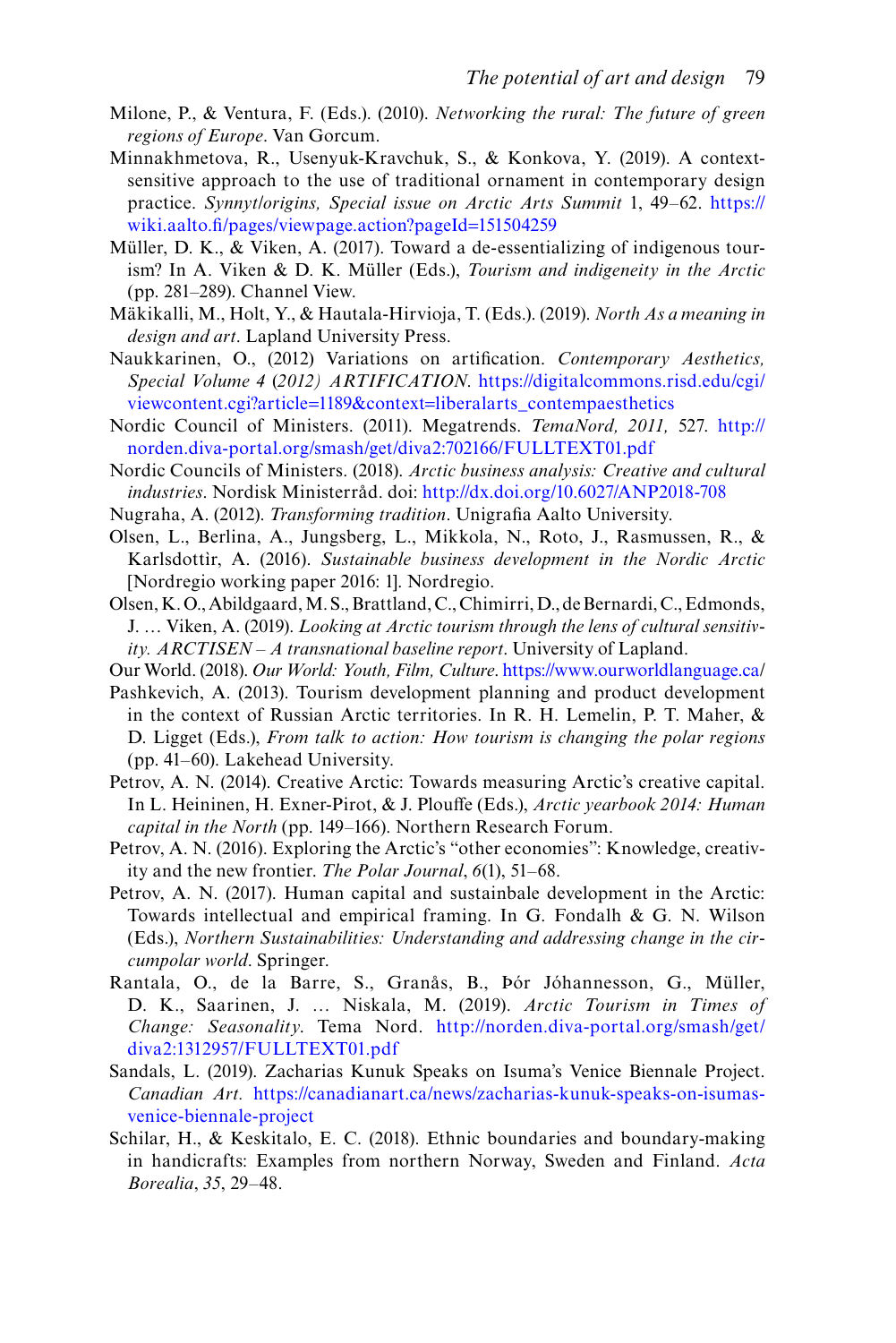- Milone, P., & Ventura, F. (Eds.). (2010). *Networking the rural: The future of green regions of Europe*. Van Gorcum.
- Minnakhmetova, R., Usenyuk-Kravchuk, S., & Konkova, Y. (2019). A contextsensitive approach to the use of traditional ornament in contemporary design practice. *Synnyt/origins, Special issue on Arctic Arts Summit* 1, 49–62. [https://](https://wiki.aalto.fi) [wiki.aalto.fi/pages/viewpage.action?pageId](https://wiki.aalto.fi)=151504259
- Müller, D. K., & Viken, A. (2017). Toward a de-essentializing of indigenous tourism? In A. Viken & D. K. Müller (Eds.), *Tourism and indigeneity in the Arctic* (pp. 281–289). Channel View.
- Mäkikalli, M., Holt, Y., & Hautala-Hirvioja, T. (Eds.). (2019). *North As a meaning in design and art*. Lapland University Press.
- Naukkarinen, O., (2012) Variations on artification. *Contemporary Aesthetics, Special Volume 4* (*2012) ARTIFICATION*. [https://digitalcommons.risd.edu/cgi/](https://digitalcommons.risd.edu) viewcontent.cgi?article=1189&context=[liberalarts\\_contempaesthetics](https://digitalcommons.risd.edu)
- Nordic Council of Ministers. (2011). Megatrends. *TemaNord, 2011,* 527. [http://](http://norden.diva-portal.org) [norden.diva-portal.org/smash/get/diva2:702166/FULLTEXT01.pdf](http://norden.diva-portal.org)
- Nordic Councils of Ministers. (2018). *Arctic business analysis: Creative and cultural industries*. Nordisk Ministerråd. doi: [http://dx.doi.org/10.6027/ANP2018-708](http://dx.doi.org)
- Nugraha, A. (2012). *Transforming tradition*. Unigrafia Aalto University.
- Olsen, L., Berlina, A., Jungsberg, L., Mikkola, N., Roto, J., Rasmussen, R., & Karlsdottìr, A. (2016). *Sustainable business development in the Nordic Arctic* [Nordregio working paper 2016: 1]. Nordregio.
- Olsen, K. O., Abildgaard, M. S., Brattland, C., Chimirri, D., de Bernardi, C., Edmonds, J. … Viken, A. (2019). *Looking at Arctic tourism through the lens of cultural sensitivity. ARCTISEN – A transnational baseline report*. University of Lapland.
- Our World. (2018). *Our World: Youth, Film, Culture*.<https://www.ourworldlanguage.ca>/
- Pashkevich, A. (2013). Tourism development planning and product development in the context of Russian Arctic territories. In R. H. Lemelin, P. T. Maher, & D. Ligget (Eds.), *From talk to action: How tourism is changing the polar regions* (pp. 41–60). Lakehead University.
- Petrov, A. N. (2014). Creative Arctic: Towards measuring Arctic's creative capital. In L. Heininen, H. Exner-Pirot, & J. Plouffe (Eds.), *Arctic yearbook 2014: Human capital in the North* (pp. 149–166). Northern Research Forum.
- Petrov, A. N. (2016). Exploring the Arctic's "other economies": Knowledge, creativity and the new frontier. *The Polar Journal*, *6*(1), 51–68.
- Petrov, A. N. (2017). Human capital and sustainbale development in the Arctic: Towards intellectual and empirical framing. In G. Fondalh & G. N. Wilson (Eds.), *Northern Sustainabilities: Understanding and addressing change in the circumpolar world*. Springer.
- Rantala, O., de la Barre, S., Granås, B., Þór Jóhannesson, G., Müller, D. K., Saarinen, J. … Niskala, M. (2019). *Arctic Tourism in Times of Change: Seasonality*. Tema Nord. [http://norden.diva-portal.org/smash/get/](http://norden.diva-portal.org) [diva2:1312957/FULLTEXT01.pdf](http://norden.diva-portal.org)
- Sandals, L. (2019). Zacharias Kunuk Speaks on Isuma's Venice Biennale Project. *Canadian Art.* [https://canadianart.ca/news/zacharias-kunuk-speaks-on-isumas](https://canadianart.ca)[venice-biennale-project](https://canadianart.ca)
- Schilar, H., & Keskitalo, E. C. (2018). Ethnic boundaries and boundary-making in handicrafts: Examples from northern Norway, Sweden and Finland. *Acta Borealia*, *35*, 29–48.